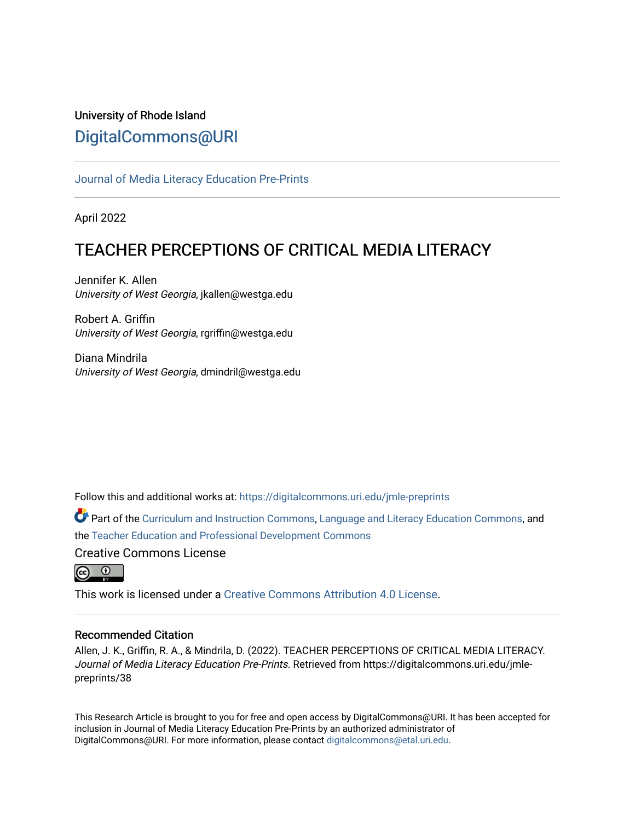## University of Rhode Island [DigitalCommons@URI](https://digitalcommons.uri.edu/)

### [Journal of Media Literacy Education Pre-Prints](https://digitalcommons.uri.edu/jmle-preprints)

April 2022

# TEACHER PERCEPTIONS OF CRITICAL MEDIA LITERACY

Jennifer K. Allen University of West Georgia, jkallen@westga.edu

Robert A. Griffin University of West Georgia, rgriffin@westga.edu

Diana Mindrila University of West Georgia, dmindril@westga.edu

Follow this and additional works at: [https://digitalcommons.uri.edu/jmle-preprints](https://digitalcommons.uri.edu/jmle-preprints?utm_source=digitalcommons.uri.edu%2Fjmle-preprints%2F38&utm_medium=PDF&utm_campaign=PDFCoverPages) 

Part of the [Curriculum and Instruction Commons,](http://network.bepress.com/hgg/discipline/786?utm_source=digitalcommons.uri.edu%2Fjmle-preprints%2F38&utm_medium=PDF&utm_campaign=PDFCoverPages) [Language and Literacy Education Commons,](http://network.bepress.com/hgg/discipline/1380?utm_source=digitalcommons.uri.edu%2Fjmle-preprints%2F38&utm_medium=PDF&utm_campaign=PDFCoverPages) and the [Teacher Education and Professional Development Commons](http://network.bepress.com/hgg/discipline/803?utm_source=digitalcommons.uri.edu%2Fjmle-preprints%2F38&utm_medium=PDF&utm_campaign=PDFCoverPages) 

Creative Commons License



This work is licensed under a [Creative Commons Attribution 4.0 License](https://creativecommons.org/licenses/by/4.0/).

### Recommended Citation

Allen, J. K., Griffin, R. A., & Mindrila, D. (2022). TEACHER PERCEPTIONS OF CRITICAL MEDIA LITERACY. Journal of Media Literacy Education Pre-Prints. Retrieved from https://digitalcommons.uri.edu/jmlepreprints/38

This Research Article is brought to you for free and open access by DigitalCommons@URI. It has been accepted for inclusion in Journal of Media Literacy Education Pre-Prints by an authorized administrator of DigitalCommons@URI. For more information, please contact [digitalcommons@etal.uri.edu.](mailto:digitalcommons@etal.uri.edu)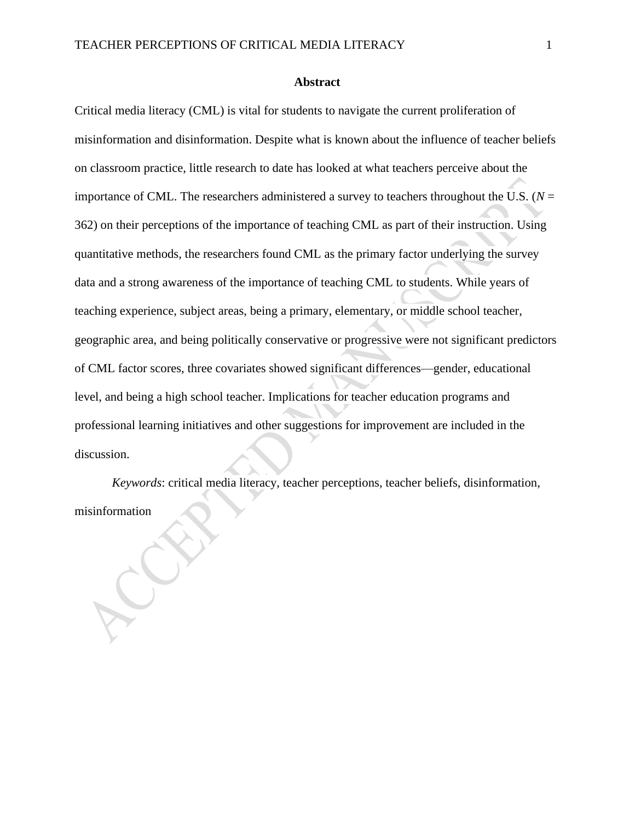#### **Abstract**

Critical media literacy (CML) is vital for students to navigate the current proliferation of misinformation and disinformation. Despite what is known about the influence of teacher beliefs on classroom practice, little research to date has looked at what teachers perceive about the importance of CML. The researchers administered a survey to teachers throughout the U.S. ( $N =$ 362) on their perceptions of the importance of teaching CML as part of their instruction. Using quantitative methods, the researchers found CML as the primary factor underlying the survey data and a strong awareness of the importance of teaching CML to students. While years of teaching experience, subject areas, being a primary, elementary, or middle school teacher, geographic area, and being politically conservative or progressive were not significant predictors of CML factor scores, three covariates showed significant differences—gender, educational level, and being a high school teacher. Implications for teacher education programs and professional learning initiatives and other suggestions for improvement are included in the discussion.

*Keywords*: critical media literacy, teacher perceptions, teacher beliefs, disinformation, misinformation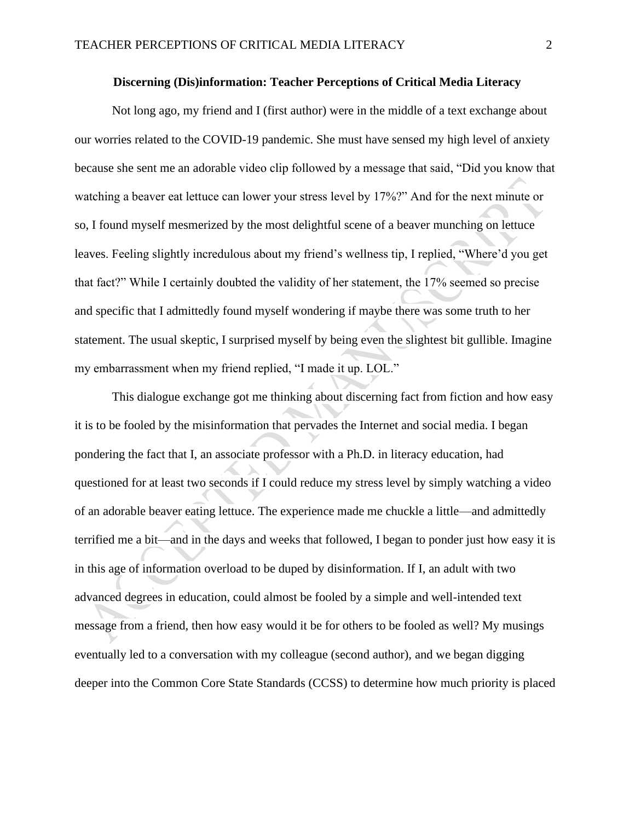#### **Discerning (Dis)information: Teacher Perceptions of Critical Media Literacy**

Not long ago, my friend and I (first author) were in the middle of a text exchange about our worries related to the COVID-19 pandemic. She must have sensed my high level of anxiety because she sent me an adorable video clip followed by a message that said, "Did you know that watching a beaver eat lettuce can lower your stress level by 17%?" And for the next minute or so, I found myself mesmerized by the most delightful scene of a beaver munching on lettuce leaves. Feeling slightly incredulous about my friend's wellness tip, I replied, "Where'd you get that fact?" While I certainly doubted the validity of her statement, the 17% seemed so precise and specific that I admittedly found myself wondering if maybe there was some truth to her statement. The usual skeptic, I surprised myself by being even the slightest bit gullible. Imagine my embarrassment when my friend replied, "I made it up. LOL."

This dialogue exchange got me thinking about discerning fact from fiction and how easy it is to be fooled by the misinformation that pervades the Internet and social media. I began pondering the fact that I, an associate professor with a Ph.D. in literacy education, had questioned for at least two seconds if I could reduce my stress level by simply watching a video of an adorable beaver eating lettuce. The experience made me chuckle a little—and admittedly terrified me a bit—and in the days and weeks that followed, I began to ponder just how easy it is in this age of information overload to be duped by disinformation. If I, an adult with two advanced degrees in education, could almost be fooled by a simple and well-intended text message from a friend, then how easy would it be for others to be fooled as well? My musings eventually led to a conversation with my colleague (second author), and we began digging deeper into the Common Core State Standards (CCSS) to determine how much priority is placed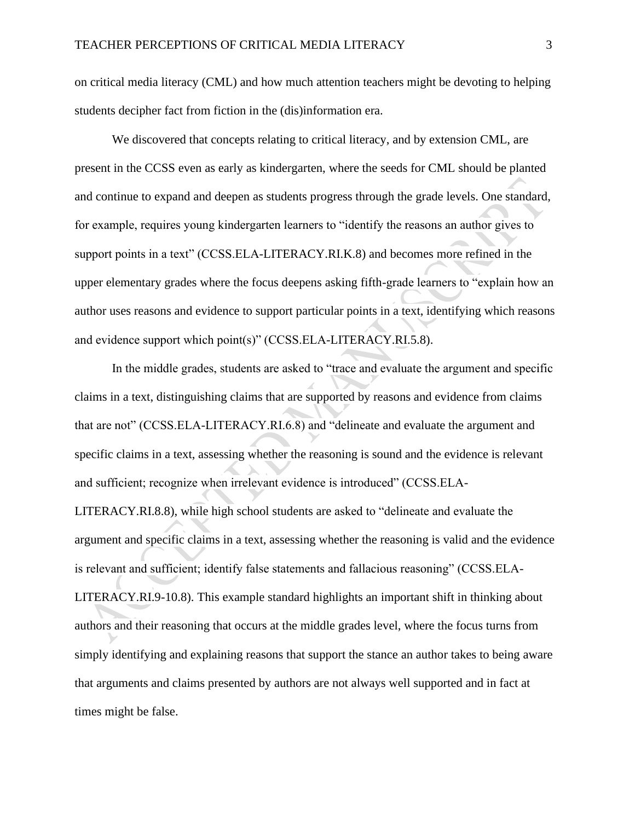on critical media literacy (CML) and how much attention teachers might be devoting to helping students decipher fact from fiction in the (dis)information era.

We discovered that concepts relating to critical literacy, and by extension CML, are present in the CCSS even as early as kindergarten, where the seeds for CML should be planted and continue to expand and deepen as students progress through the grade levels. One standard, for example, requires young kindergarten learners to "identify the reasons an author gives to support points in a text" (CCSS.ELA-LITERACY.RI.K.8) and becomes more refined in the upper elementary grades where the focus deepens asking fifth-grade learners to "explain how an author uses reasons and evidence to support particular points in a text, identifying which reasons and evidence support which point(s)" (CCSS.ELA-LITERACY.RI.5.8).

In the middle grades, students are asked to "trace and evaluate the argument and specific claims in a text, distinguishing claims that are supported by reasons and evidence from claims that are not" (CCSS.ELA-LITERACY.RI.6.8) and "delineate and evaluate the argument and specific claims in a text, assessing whether the reasoning is sound and the evidence is relevant and sufficient; recognize when irrelevant evidence is introduced" (CCSS.ELA-LITERACY.RI.8.8), while high school students are asked to "delineate and evaluate the argument and specific claims in a text, assessing whether the reasoning is valid and the evidence is relevant and sufficient; identify false statements and fallacious reasoning" (CCSS.ELA-LITERACY.RI.9-10.8). This example standard highlights an important shift in thinking about authors and their reasoning that occurs at the middle grades level, where the focus turns from simply identifying and explaining reasons that support the stance an author takes to being aware that arguments and claims presented by authors are not always well supported and in fact at times might be false.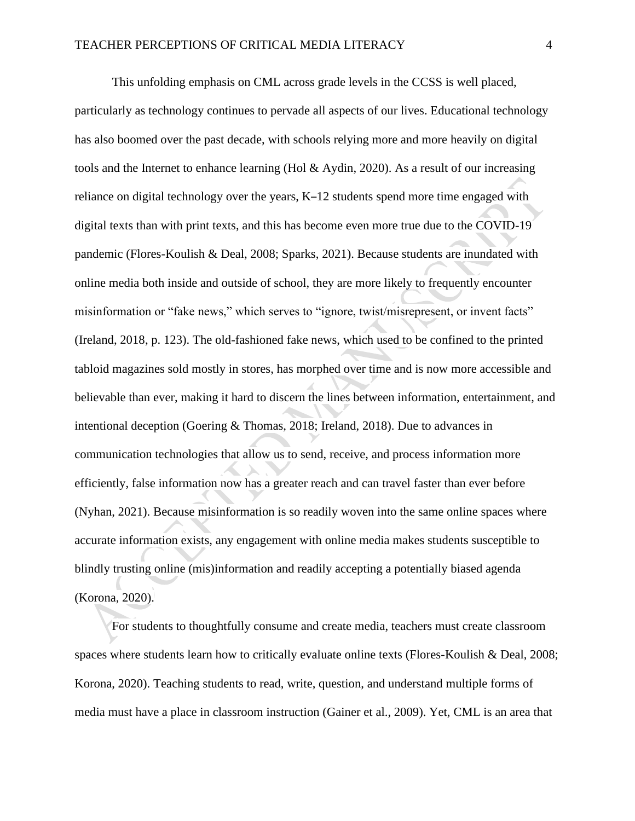This unfolding emphasis on CML across grade levels in the CCSS is well placed, particularly as technology continues to pervade all aspects of our lives. Educational technology has also boomed over the past decade, with schools relying more and more heavily on digital tools and the Internet to enhance learning (Hol & Aydin, 2020). As a result of our increasing reliance on digital technology over the years, K–12 students spend more time engaged with digital texts than with print texts, and this has become even more true due to the COVID-19 pandemic (Flores-Koulish & Deal, 2008; Sparks, 2021). Because students are inundated with online media both inside and outside of school, they are more likely to frequently encounter misinformation or "fake news," which serves to "ignore, twist/misrepresent, or invent facts" (Ireland, 2018, p. 123). The old-fashioned fake news, which used to be confined to the printed tabloid magazines sold mostly in stores, has morphed over time and is now more accessible and believable than ever, making it hard to discern the lines between information, entertainment, and intentional deception (Goering & Thomas, 2018; Ireland, 2018). Due to advances in communication technologies that allow us to send, receive, and process information more efficiently, false information now has a greater reach and can travel faster than ever before (Nyhan, 2021). Because misinformation is so readily woven into the same online spaces where accurate information exists, any engagement with online media makes students susceptible to blindly trusting online (mis)information and readily accepting a potentially biased agenda (Korona, 2020).

For students to thoughtfully consume and create media, teachers must create classroom spaces where students learn how to critically evaluate online texts (Flores-Koulish & Deal, 2008; Korona, 2020). Teaching students to read, write, question, and understand multiple forms of media must have a place in classroom instruction (Gainer et al., 2009). Yet, CML is an area that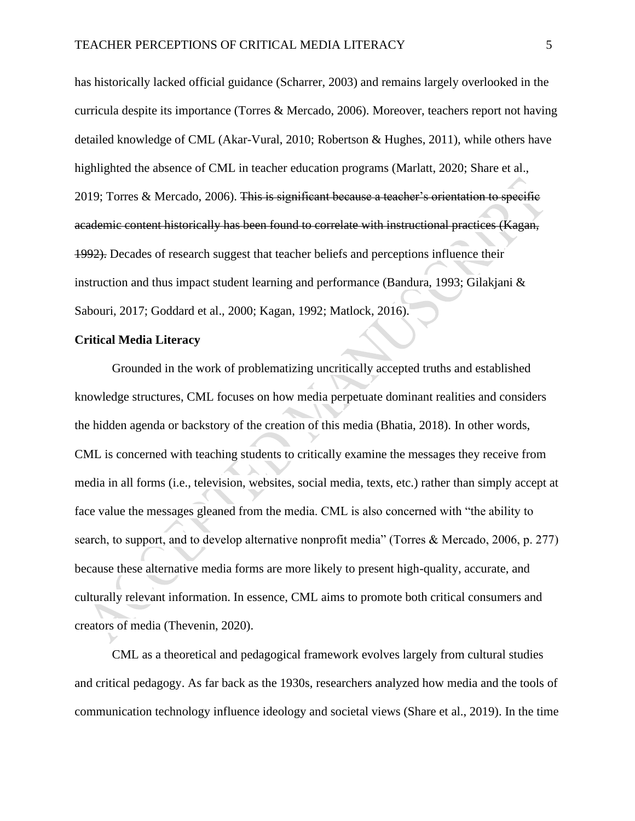has historically lacked official guidance (Scharrer, 2003) and remains largely overlooked in the curricula despite its importance (Torres & Mercado, 2006). Moreover, teachers report not having detailed knowledge of CML (Akar-Vural, 2010; Robertson & Hughes, 2011), while others have highlighted the absence of CML in teacher education programs (Marlatt, 2020; Share et al., 2019; Torres & Mercado, 2006). This is significant because a teacher's orientation to specific academic content historically has been found to correlate with instructional practices (Kagan, 1992). Decades of research suggest that teacher beliefs and perceptions influence their instruction and thus impact student learning and performance (Bandura, 1993; Gilakjani & Sabouri, 2017; Goddard et al., 2000; Kagan, 1992; Matlock, 2016).

#### **Critical Media Literacy**

Grounded in the work of problematizing uncritically accepted truths and established knowledge structures, CML focuses on how media perpetuate dominant realities and considers the hidden agenda or backstory of the creation of this media (Bhatia, 2018). In other words, CML is concerned with teaching students to critically examine the messages they receive from media in all forms (i.e., television, websites, social media, texts, etc.) rather than simply accept at face value the messages gleaned from the media. CML is also concerned with "the ability to search, to support, and to develop alternative nonprofit media" (Torres & Mercado, 2006, p. 277) because these alternative media forms are more likely to present high-quality, accurate, and culturally relevant information. In essence, CML aims to promote both critical consumers and creators of media (Thevenin, 2020).

CML as a theoretical and pedagogical framework evolves largely from cultural studies and critical pedagogy. As far back as the 1930s, researchers analyzed how media and the tools of communication technology influence ideology and societal views (Share et al., 2019). In the time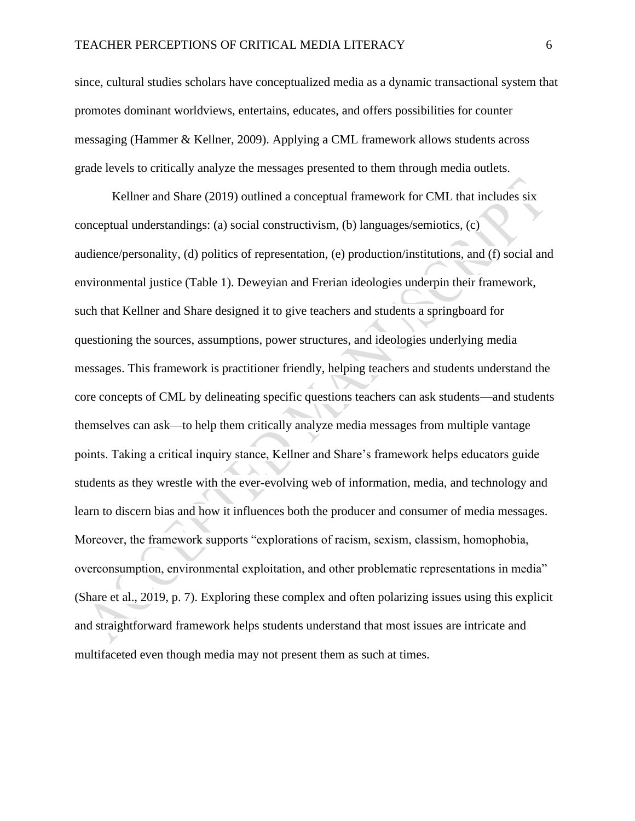since, cultural studies scholars have conceptualized media as a dynamic transactional system that promotes dominant worldviews, entertains, educates, and offers possibilities for counter messaging (Hammer & Kellner, 2009). Applying a CML framework allows students across grade levels to critically analyze the messages presented to them through media outlets.

Kellner and Share (2019) outlined a conceptual framework for CML that includes six conceptual understandings: (a) social constructivism, (b) languages/semiotics, (c) audience/personality, (d) politics of representation, (e) production/institutions, and (f) social and environmental justice (Table 1). Deweyian and Frerian ideologies underpin their framework, such that Kellner and Share designed it to give teachers and students a springboard for questioning the sources, assumptions, power structures, and ideologies underlying media messages. This framework is practitioner friendly, helping teachers and students understand the core concepts of CML by delineating specific questions teachers can ask students—and students themselves can ask—to help them critically analyze media messages from multiple vantage points. Taking a critical inquiry stance, Kellner and Share's framework helps educators guide students as they wrestle with the ever-evolving web of information, media, and technology and learn to discern bias and how it influences both the producer and consumer of media messages. Moreover, the framework supports "explorations of racism, sexism, classism, homophobia, overconsumption, environmental exploitation, and other problematic representations in media" (Share et al., 2019, p. 7). Exploring these complex and often polarizing issues using this explicit and straightforward framework helps students understand that most issues are intricate and multifaceted even though media may not present them as such at times.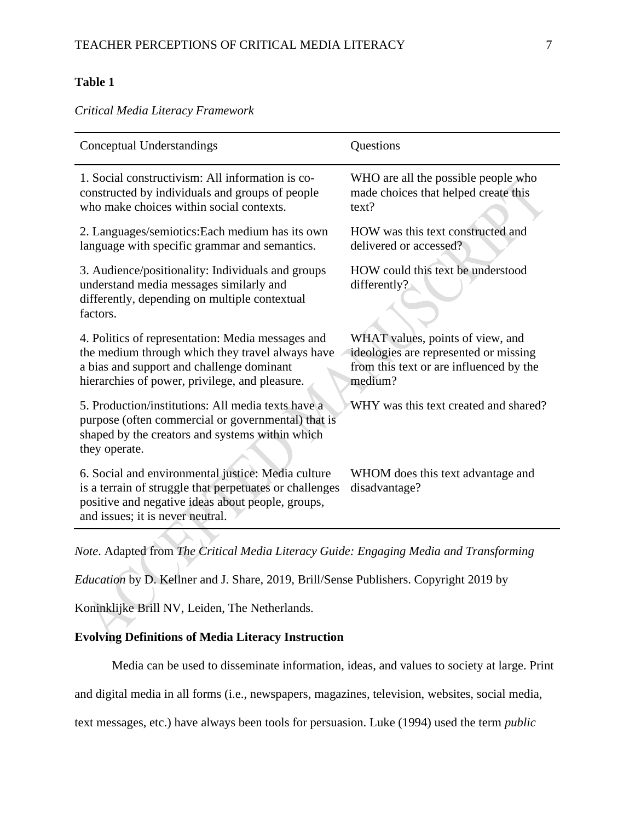## **Table 1**

*Critical Media Literacy Framework*

| Conceptual Understandings                                                                                                                                                                              | Questions                                                                                                                       |
|--------------------------------------------------------------------------------------------------------------------------------------------------------------------------------------------------------|---------------------------------------------------------------------------------------------------------------------------------|
| 1. Social constructivism: All information is co-<br>constructed by individuals and groups of people<br>who make choices within social contexts.                                                        | WHO are all the possible people who<br>made choices that helped create this<br>text?                                            |
| 2. Languages/semiotics: Each medium has its own<br>language with specific grammar and semantics.                                                                                                       | HOW was this text constructed and<br>delivered or accessed?                                                                     |
| 3. Audience/positionality: Individuals and groups<br>understand media messages similarly and<br>differently, depending on multiple contextual<br>factors.                                              | HOW could this text be understood<br>differently?                                                                               |
| 4. Politics of representation: Media messages and<br>the medium through which they travel always have<br>a bias and support and challenge dominant<br>hierarchies of power, privilege, and pleasure.   | WHAT values, points of view, and<br>ideologies are represented or missing<br>from this text or are influenced by the<br>medium? |
| 5. Production/institutions: All media texts have a<br>purpose (often commercial or governmental) that is<br>shaped by the creators and systems within which<br>they operate.                           | WHY was this text created and shared?                                                                                           |
| 6. Social and environmental justice: Media culture<br>is a terrain of struggle that perpetuates or challenges<br>positive and negative ideas about people, groups,<br>and issues; it is never neutral. | WHOM does this text advantage and<br>disadvantage?                                                                              |
| Note. Adapted from The Critical Media Literacy Guide: Engaging Media and Transforming                                                                                                                  |                                                                                                                                 |

*Education* by D. Kellner and J. Share, 2019, Brill/Sense Publishers. Copyright 2019 by

Koninklijke Brill NV, Leiden, The Netherlands.

## **Evolving Definitions of Media Literacy Instruction**

Media can be used to disseminate information, ideas, and values to society at large. Print

and digital media in all forms (i.e., newspapers, magazines, television, websites, social media,

text messages, etc.) have always been tools for persuasion. Luke (1994) used the term *public*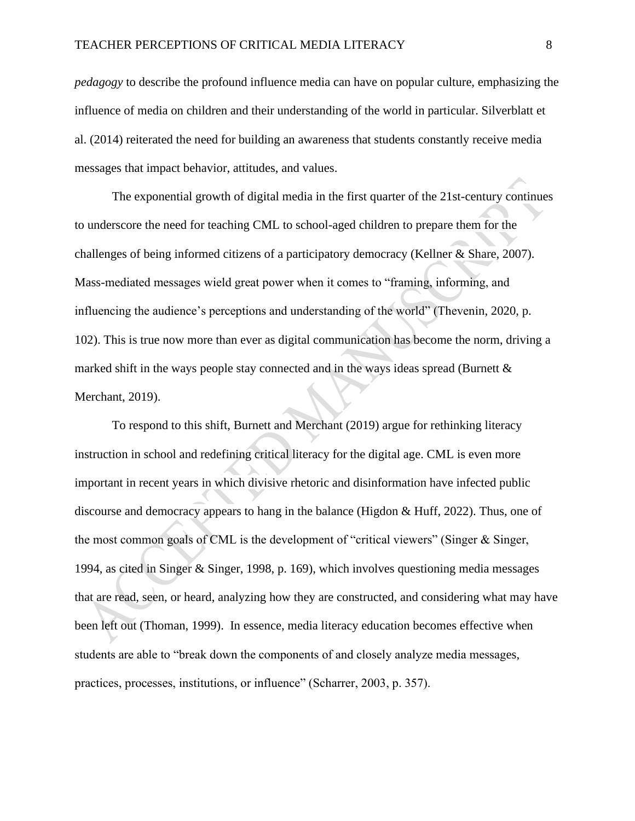*pedagogy* to describe the profound influence media can have on popular culture, emphasizing the influence of media on children and their understanding of the world in particular. Silverblatt et al. (2014) reiterated the need for building an awareness that students constantly receive media messages that impact behavior, attitudes, and values.

The exponential growth of digital media in the first quarter of the 21st-century continues to underscore the need for teaching CML to school-aged children to prepare them for the challenges of being informed citizens of a participatory democracy (Kellner & Share, 2007). Mass-mediated messages wield great power when it comes to "framing, informing, and influencing the audience's perceptions and understanding of the world" (Thevenin, 2020, p. 102). This is true now more than ever as digital communication has become the norm, driving a marked shift in the ways people stay connected and in the ways ideas spread (Burnett  $\&$ Merchant, 2019).

To respond to this shift, Burnett and Merchant (2019) argue for rethinking literacy instruction in school and redefining critical literacy for the digital age. CML is even more important in recent years in which divisive rhetoric and disinformation have infected public discourse and democracy appears to hang in the balance (Higdon & Huff, 2022). Thus, one of the most common goals of CML is the development of "critical viewers" (Singer & Singer, 1994, as cited in Singer & Singer, 1998, p. 169), which involves questioning media messages that are read, seen, or heard, analyzing how they are constructed, and considering what may have been left out (Thoman, 1999). In essence, media literacy education becomes effective when students are able to "break down the components of and closely analyze media messages, practices, processes, institutions, or influence" (Scharrer, 2003, p. 357).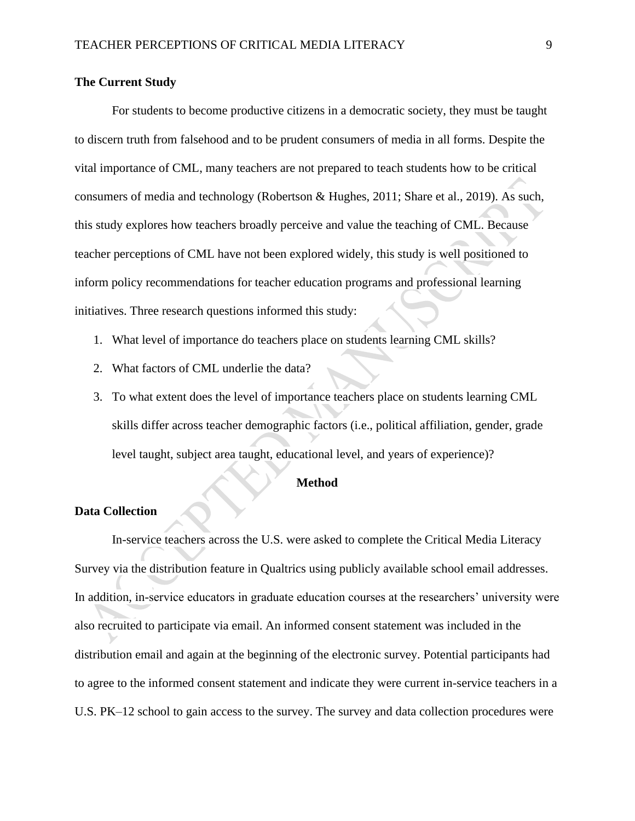#### **The Current Study**

For students to become productive citizens in a democratic society, they must be taught to discern truth from falsehood and to be prudent consumers of media in all forms. Despite the vital importance of CML, many teachers are not prepared to teach students how to be critical consumers of media and technology (Robertson & Hughes, 2011; Share et al., 2019). As such, this study explores how teachers broadly perceive and value the teaching of CML. Because teacher perceptions of CML have not been explored widely, this study is well positioned to inform policy recommendations for teacher education programs and professional learning initiatives. Three research questions informed this study:

- 1. What level of importance do teachers place on students learning CML skills?
- 2. What factors of CML underlie the data?
- 3. To what extent does the level of importance teachers place on students learning CML skills differ across teacher demographic factors (i.e., political affiliation, gender, grade level taught, subject area taught, educational level, and years of experience)?

#### **Method**

#### **Data Collection**

In-service teachers across the U.S. were asked to complete the Critical Media Literacy Survey via the distribution feature in Qualtrics using publicly available school email addresses. In addition, in-service educators in graduate education courses at the researchers' university were also recruited to participate via email. An informed consent statement was included in the distribution email and again at the beginning of the electronic survey. Potential participants had to agree to the informed consent statement and indicate they were current in-service teachers in a U.S. PK–12 school to gain access to the survey. The survey and data collection procedures were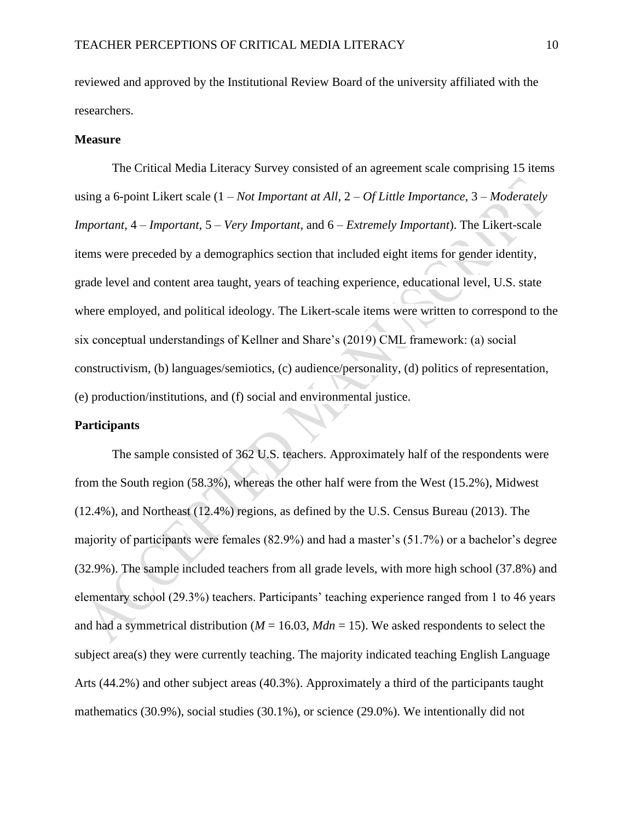reviewed and approved by the Institutional Review Board of the university affiliated with the researchers.

#### **Measure**

The Critical Media Literacy Survey consisted of an agreement scale comprising 15 items using a 6-point Likert scale (1 – *Not Important at All*, 2 – *Of Little Importance*, 3 – *Moderately Important*, 4 – *Important*, 5 – *Very Important*, and 6 – *Extremely Important*). The Likert-scale items were preceded by a demographics section that included eight items for gender identity, grade level and content area taught, years of teaching experience, educational level, U.S. state where employed, and political ideology. The Likert-scale items were written to correspond to the six conceptual understandings of Kellner and Share's (2019) CML framework: (a) social constructivism, (b) languages/semiotics, (c) audience/personality, (d) politics of representation, (e) production/institutions, and (f) social and environmental justice.

#### **Participants**

The sample consisted of 362 U.S. teachers. Approximately half of the respondents were from the South region (58.3%), whereas the other half were from the West (15.2%), Midwest (12.4%), and Northeast (12.4%) regions, as defined by the U.S. Census Bureau (2013). The majority of participants were females (82.9%) and had a master's (51.7%) or a bachelor's degree (32.9%). The sample included teachers from all grade levels, with more high school (37.8%) and elementary school (29.3%) teachers. Participants' teaching experience ranged from 1 to 46 years and had a symmetrical distribution ( $M = 16.03$ ,  $Mdn = 15$ ). We asked respondents to select the subject area(s) they were currently teaching. The majority indicated teaching English Language Arts (44.2%) and other subject areas (40.3%). Approximately a third of the participants taught mathematics (30.9%), social studies (30.1%), or science (29.0%). We intentionally did not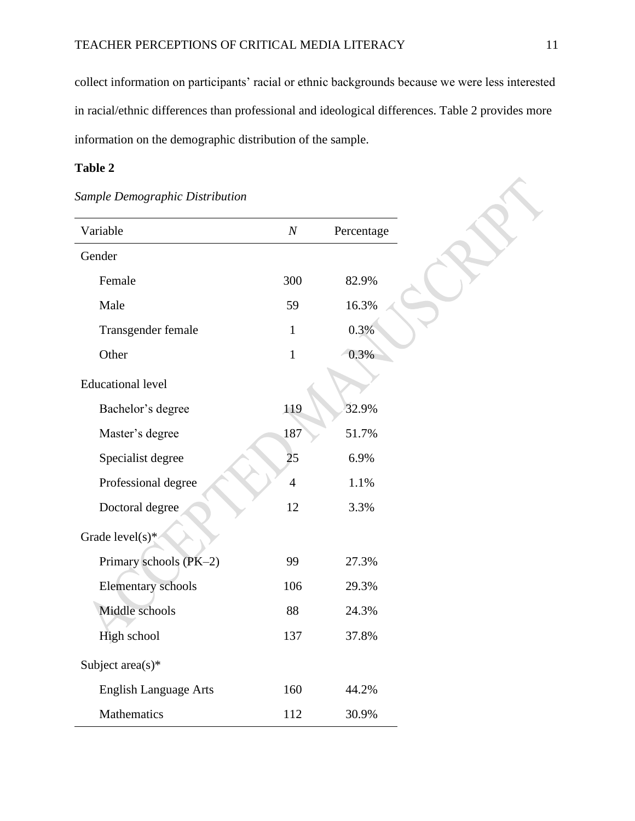collect information on participants' racial or ethnic backgrounds because we were less interested in racial/ethnic differences than professional and ideological differences. Table 2 provides more information on the demographic distribution of the sample.

## **Table 2**

| Variable                     | $\boldsymbol{N}$ | Percentage |
|------------------------------|------------------|------------|
| Gender                       |                  |            |
| Female                       | 300              | 82.9%      |
| Male                         | 59               | 16.3%      |
| Transgender female           | $\mathbf{1}$     | 0.3%       |
| Other                        | $\mathbf{1}$     | 0.3%       |
| <b>Educational level</b>     |                  |            |
| Bachelor's degree            | 119              | 32.9%      |
| Master's degree              | 187              | 51.7%      |
| Specialist degree            | 25               | 6.9%       |
| Professional degree          | $\overline{4}$   | 1.1%       |
| Doctoral degree              | 12               | 3.3%       |
| Grade level(s)*              |                  |            |
| Primary schools (PK-2)       | 99               | 27.3%      |
| <b>Elementary schools</b>    | 106              | 29.3%      |
| Middle schools               | 88               | 24.3%      |
| High school                  | 137              | 37.8%      |
| Subject $area(s)*$           |                  |            |
| <b>English Language Arts</b> | 160              | 44.2%      |
| Mathematics                  | 112              | 30.9%      |

## *Sample Demographic Distribution*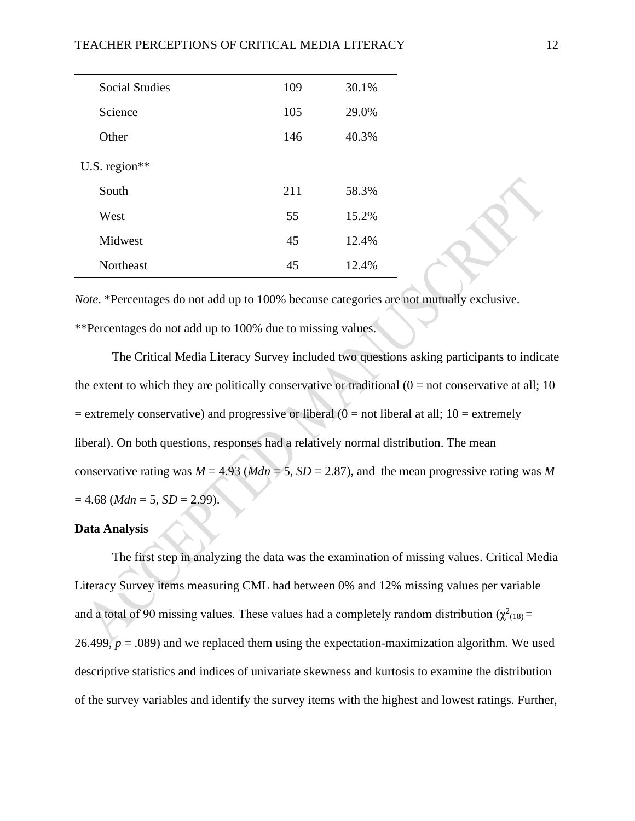| <b>Social Studies</b> | 109 | 30.1% |
|-----------------------|-----|-------|
| Science               | 105 | 29.0% |
| Other                 | 146 | 40.3% |
| U.S. region $**$      |     |       |
| South                 | 211 | 58.3% |
| West                  | 55  | 15.2% |
| Midwest               | 45  | 12.4% |
| <b>Northeast</b>      | 45  | 12.4% |

*Note*. \*Percentages do not add up to 100% because categories are not mutually exclusive. \*\*Percentages do not add up to 100% due to missing values.

The Critical Media Literacy Survey included two questions asking participants to indicate the extent to which they are politically conservative or traditional  $(0 = not conservative at all; 10)$  $=$  extremely conservative) and progressive or liberal ( $0 =$  not liberal at all; 10 = extremely liberal). On both questions, responses had a relatively normal distribution. The mean conservative rating was  $M = 4.93$  ( $Mdn = 5$ ,  $SD = 2.87$ ), and the mean progressive rating was M  $= 4.68$  (*Mdn* = 5, *SD* = 2.99).

#### **Data Analysis**

The first step in analyzing the data was the examination of missing values. Critical Media Literacy Survey items measuring CML had between 0% and 12% missing values per variable and a total of 90 missing values. These values had a completely random distribution ( $\chi^2$ <sub>(18)</sub> = 26.499,  $p = .089$ ) and we replaced them using the expectation-maximization algorithm. We used descriptive statistics and indices of univariate skewness and kurtosis to examine the distribution of the survey variables and identify the survey items with the highest and lowest ratings. Further,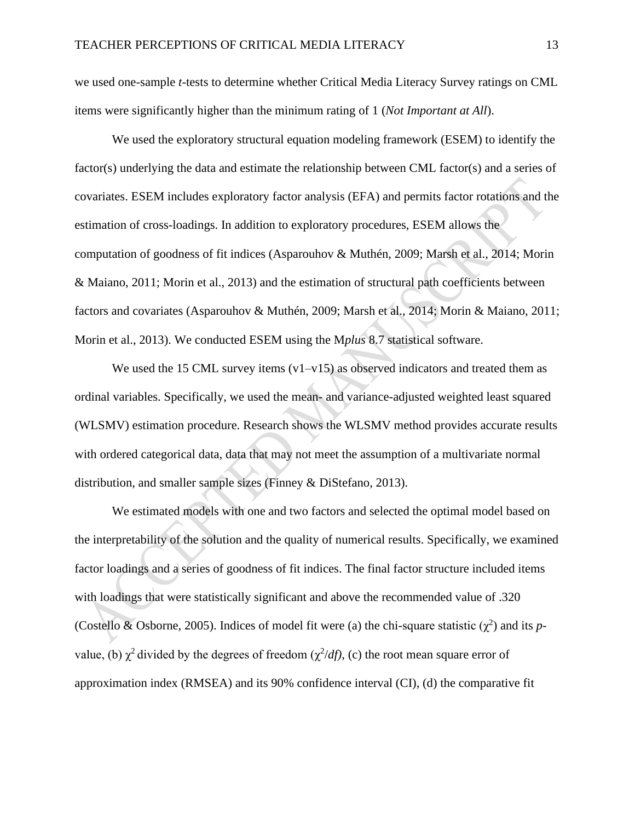we used one-sample *t*-tests to determine whether Critical Media Literacy Survey ratings on CML items were significantly higher than the minimum rating of 1 (*Not Important at All*).

We used the exploratory structural equation modeling framework (ESEM) to identify the factor(s) underlying the data and estimate the relationship between CML factor(s) and a series of covariates. ESEM includes exploratory factor analysis (EFA) and permits factor rotations and the estimation of cross-loadings. In addition to exploratory procedures, ESEM allows the computation of goodness of fit indices (Asparouhov & Muthén, 2009; Marsh et al., 2014; Morin & Maiano, 2011; Morin et al., 2013) and the estimation of structural path coefficients between factors and covariates (Asparouhov & Muthén, 2009; Marsh et al., 2014; Morin & Maiano, 2011; Morin et al., 2013). We conducted ESEM using the M*plus* 8.7 statistical software.

We used the 15 CML survey items  $(v1-v15)$  as observed indicators and treated them as ordinal variables. Specifically, we used the mean- and variance-adjusted weighted least squared (WLSMV) estimation procedure. Research shows the WLSMV method provides accurate results with ordered categorical data, data that may not meet the assumption of a multivariate normal distribution, and smaller sample sizes (Finney & DiStefano, 2013).

We estimated models with one and two factors and selected the optimal model based on the interpretability of the solution and the quality of numerical results. Specifically, we examined factor loadings and a series of goodness of fit indices. The final factor structure included items with loadings that were statistically significant and above the recommended value of .320 (Costello & Osborne, 2005). Indices of model fit were (a) the chi-square statistic  $(\chi^2)$  and its *p*value, (b)  $\chi^2$  divided by the degrees of freedom ( $\chi^2/df$ ), (c) the root mean square error of approximation index (RMSEA) and its 90% confidence interval (CI), (d) the comparative fit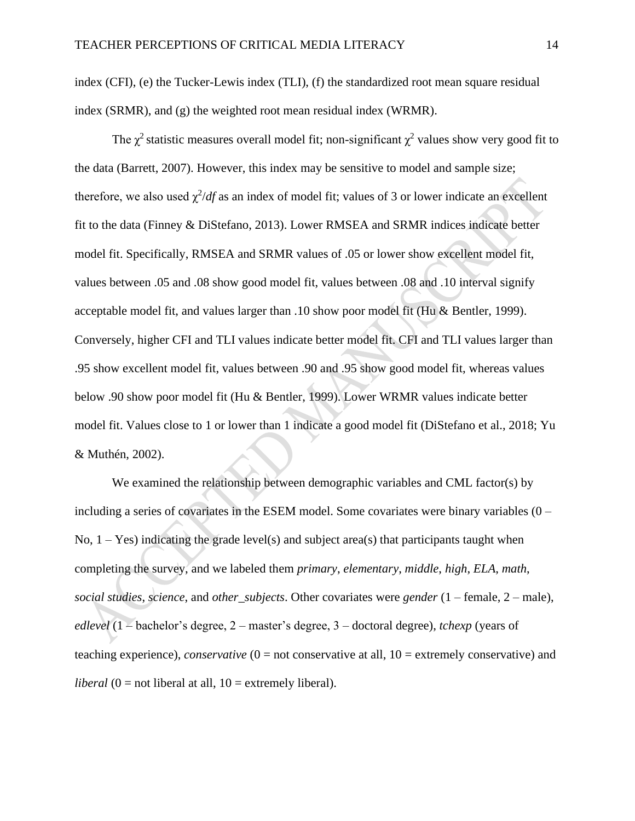index (CFI), (e) the Tucker-Lewis index (TLI), (f) the standardized root mean square residual index (SRMR), and (g) the weighted root mean residual index (WRMR).

The  $\chi^2$  statistic measures overall model fit; non-significant  $\chi^2$  values show very good fit to the data (Barrett, 2007). However, this index may be sensitive to model and sample size; therefore, we also used  $\chi^2/df$  as an index of model fit; values of 3 or lower indicate an excellent fit to the data (Finney & DiStefano, 2013). Lower RMSEA and SRMR indices indicate better model fit. Specifically, RMSEA and SRMR values of .05 or lower show excellent model fit, values between .05 and .08 show good model fit, values between .08 and .10 interval signify acceptable model fit, and values larger than .10 show poor model fit (Hu & Bentler, 1999). Conversely, higher CFI and TLI values indicate better model fit. CFI and TLI values larger than .95 show excellent model fit, values between .90 and .95 show good model fit, whereas values below .90 show poor model fit (Hu & Bentler, 1999). Lower WRMR values indicate better model fit. Values close to 1 or lower than 1 indicate a good model fit (DiStefano et al., 2018; Yu & Muthén, 2002).

We examined the relationship between demographic variables and CML factor(s) by including a series of covariates in the ESEM model. Some covariates were binary variables (0 – No,  $1 - Yes$ ) indicating the grade level(s) and subject area(s) that participants taught when completing the survey, and we labeled them *primary*, *elementary*, *middle*, *high*, *ELA*, *math*, *social studies*, *science*, and *other\_subjects*. Other covariates were *gender* (1 – female, 2 – male), *edlevel* (1 – bachelor's degree, 2 – master's degree, 3 – doctoral degree), *tchexp* (years of teaching experience), *conservative* (0 = not conservative at all, 10 = extremely conservative) and *liberal*  $(0 = not liberal at all, 10 = extremely liberal).$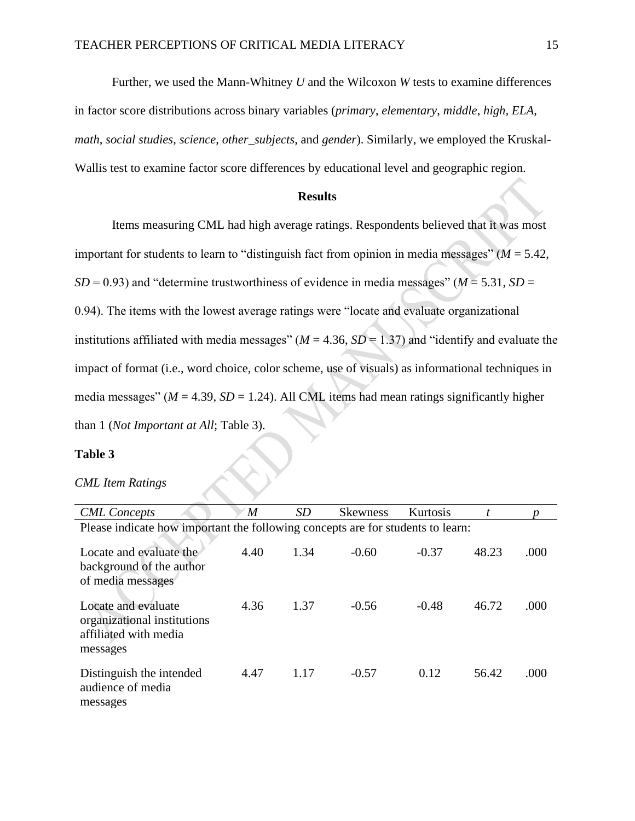Further, we used the Mann-Whitney *U* and the Wilcoxon *W* tests to examine differences

in factor score distributions across binary variables (*primary*, *elementary*, *middle*, *high*, *ELA*,

*math*, *social studies*, *science*, *other\_subjects*, and *gender*). Similarly, we employed the Kruskal-

Wallis test to examine factor score differences by educational level and geographic region.

### **Results**

Items measuring CML had high average ratings. Respondents believed that it was most important for students to learn to "distinguish fact from opinion in media messages" (*M* = 5.42, *SD* = 0.93) and "determine trustworthiness of evidence in media messages" ( $M = 5.31$ , *SD* = 0.94). The items with the lowest average ratings were "locate and evaluate organizational institutions affiliated with media messages" ( $M = 4.36$ ,  $SD = 1.37$ ) and "identify and evaluate the impact of format (i.e., word choice, color scheme, use of visuals) as informational techniques in media messages" ( $M = 4.39$ ,  $SD = 1.24$ ). All CML items had mean ratings significantly higher than 1 (*Not Important at All*; Table 3).

#### **Table 3**

#### *CML Item Ratings*

| <b>CML</b> Concepts                                                                     | $\boldsymbol{M}$ | <i>SD</i> | <b>Skewness</b> | Kurtosis |       |      |
|-----------------------------------------------------------------------------------------|------------------|-----------|-----------------|----------|-------|------|
| Please indicate how important the following concepts are for students to learn:         |                  |           |                 |          |       |      |
| Locate and evaluate the<br>background of the author<br>of media messages                | 4.40             | 1.34      | $-0.60$         | $-0.37$  | 48.23 | .000 |
| Locate and evaluate<br>organizational institutions<br>affiliated with media<br>messages | 4.36             | 1.37      | $-0.56$         | $-0.48$  | 46.72 | .000 |
| Distinguish the intended<br>audience of media<br>messages                               | 4.47             | 1.17      | $-0.57$         | 0.12     | 56.42 | .000 |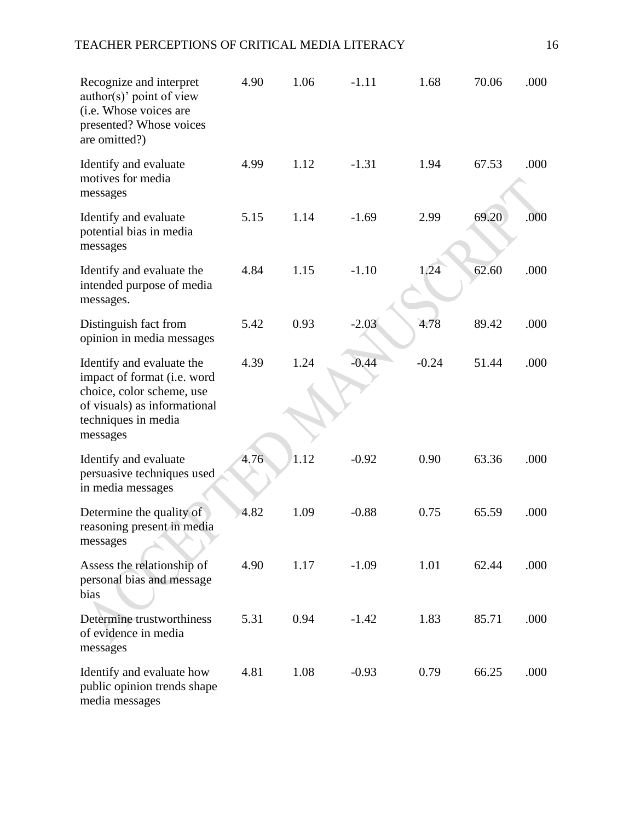## TEACHER PERCEPTIONS OF CRITICAL MEDIA LITERACY 16

| Recognize and interpret<br>author(s)' point of view<br>(i.e. Whose voices are<br>presented? Whose voices<br>are omitted?)                                | 4.90 | 1.06 | $-1.11$ | 1.68    | 70.06 | .000 |
|----------------------------------------------------------------------------------------------------------------------------------------------------------|------|------|---------|---------|-------|------|
| Identify and evaluate<br>motives for media<br>messages                                                                                                   | 4.99 | 1.12 | $-1.31$ | 1.94    | 67.53 | .000 |
| Identify and evaluate<br>potential bias in media<br>messages                                                                                             | 5.15 | 1.14 | $-1.69$ | 2.99    | 69.20 | .000 |
| Identify and evaluate the<br>intended purpose of media<br>messages.                                                                                      | 4.84 | 1.15 | $-1.10$ | 1.24    | 62.60 | .000 |
| Distinguish fact from<br>opinion in media messages                                                                                                       | 5.42 | 0.93 | $-2.03$ | 4.78    | 89.42 | .000 |
| Identify and evaluate the<br>impact of format (i.e. word<br>choice, color scheme, use<br>of visuals) as informational<br>techniques in media<br>messages | 4.39 | 1.24 | $-0.44$ | $-0.24$ | 51.44 | .000 |
| Identify and evaluate<br>persuasive techniques used<br>in media messages                                                                                 | 4.76 | 1.12 | $-0.92$ | 0.90    | 63.36 | .000 |
| Determine the quality of<br>reasoning present in media<br>messages                                                                                       | 4.82 | 1.09 | $-0.88$ | 0.75    | 65.59 | .000 |
| Assess the relationship of<br>personal bias and message<br>bias                                                                                          | 4.90 | 1.17 | $-1.09$ | 1.01    | 62.44 | .000 |
| Determine trustworthiness<br>of evidence in media<br>messages                                                                                            | 5.31 | 0.94 | $-1.42$ | 1.83    | 85.71 | .000 |
| Identify and evaluate how<br>public opinion trends shape<br>media messages                                                                               | 4.81 | 1.08 | $-0.93$ | 0.79    | 66.25 | .000 |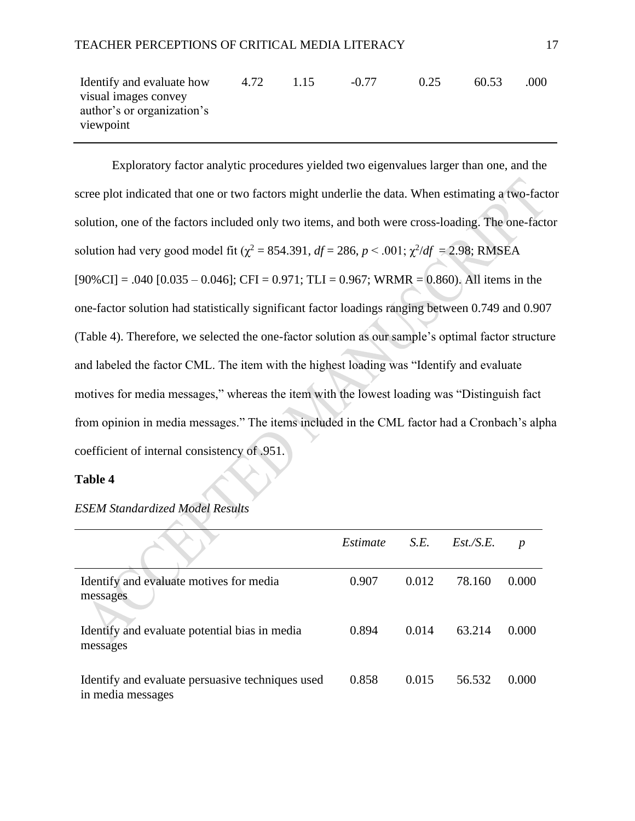| Identify and evaluate how  | 4.72 | 1.15 | $-0.77$ | 0.25 | 60.53 | (000) |
|----------------------------|------|------|---------|------|-------|-------|
| visual images convey       |      |      |         |      |       |       |
| author's or organization's |      |      |         |      |       |       |
| viewpoint                  |      |      |         |      |       |       |

Exploratory factor analytic procedures yielded two eigenvalues larger than one, and the scree plot indicated that one or two factors might underlie the data. When estimating a two-factor solution, one of the factors included only two items, and both were cross-loading. The one-factor solution had very good model fit ( $\chi^2 = 854.391$ ,  $df = 286$ ,  $p < .001$ ;  $\chi^2/df = 2.98$ ; RMSEA  $[90\% \text{CI}] = .040 [0.035 - 0.046]$ ; CFI = 0.971; TLI = 0.967; WRMR = 0.860). All items in the one-factor solution had statistically significant factor loadings ranging between 0.749 and 0.907 (Table 4). Therefore, we selected the one-factor solution as our sample's optimal factor structure and labeled the factor CML. The item with the highest loading was "Identify and evaluate motives for media messages," whereas the item with the lowest loading was "Distinguish fact from opinion in media messages." The items included in the CML factor had a Cronbach's alpha coefficient of internal consistency of .951.

#### **Table 4**

|                                                                       | Estimate | S.E.  | $Est.\!/S.E.$ | $\boldsymbol{p}$ |
|-----------------------------------------------------------------------|----------|-------|---------------|------------------|
| Identify and evaluate motives for media<br>messages                   | 0.907    | 0.012 | 78.160        | 0.000            |
| Identify and evaluate potential bias in media<br>messages             | 0.894    | 0.014 | 63.214        | 0.000            |
| Identify and evaluate persuasive techniques used<br>in media messages | 0.858    | 0.015 | 56.532        | 0.000            |

### *ESEM Standardized Model Results*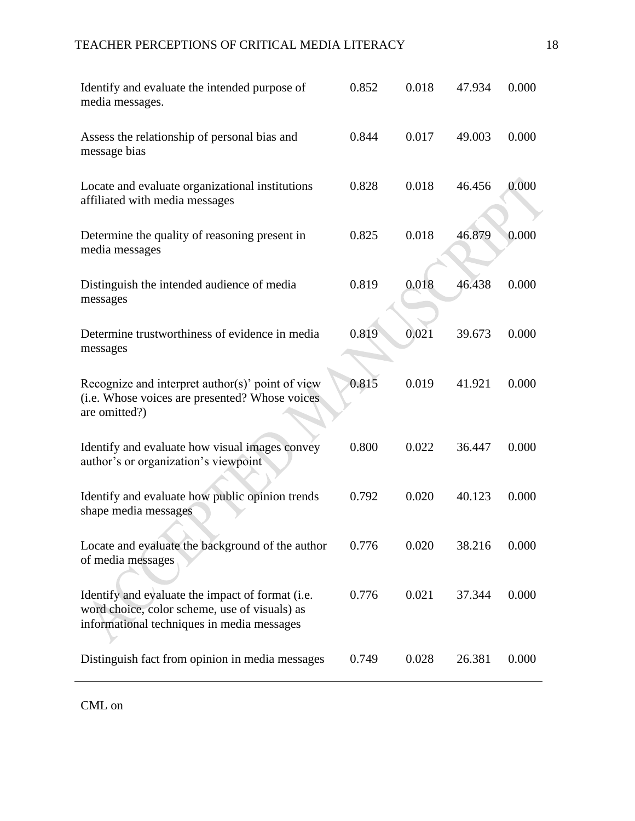## TEACHER PERCEPTIONS OF CRITICAL MEDIA LITERACY 18

| Identify and evaluate the intended purpose of<br>media messages.                                                                                | 0.852 | 0.018 | 47.934 | 0.000 |
|-------------------------------------------------------------------------------------------------------------------------------------------------|-------|-------|--------|-------|
| Assess the relationship of personal bias and<br>message bias                                                                                    | 0.844 | 0.017 | 49.003 | 0.000 |
| Locate and evaluate organizational institutions<br>affiliated with media messages                                                               | 0.828 | 0.018 | 46.456 | 0.000 |
| Determine the quality of reasoning present in<br>media messages                                                                                 | 0.825 | 0.018 | 46.879 | 0.000 |
| Distinguish the intended audience of media<br>messages                                                                                          | 0.819 | 0.018 | 46.438 | 0.000 |
| Determine trustworthiness of evidence in media<br>messages                                                                                      | 0.819 | 0.021 | 39.673 | 0.000 |
| Recognize and interpret author(s)' point of view<br>(i.e. Whose voices are presented? Whose voices<br>are omitted?)                             | 0.815 | 0.019 | 41.921 | 0.000 |
| Identify and evaluate how visual images convey<br>author's or organization's viewpoint                                                          | 0.800 | 0.022 | 36.447 | 0.000 |
| Identify and evaluate how public opinion trends<br>shape media messages                                                                         | 0.792 | 0.020 | 40.123 | 0.000 |
| Locate and evaluate the background of the author<br>of media messages                                                                           | 0.776 | 0.020 | 38.216 | 0.000 |
| Identify and evaluate the impact of format (i.e.<br>word choice, color scheme, use of visuals) as<br>informational techniques in media messages | 0.776 | 0.021 | 37.344 | 0.000 |
| Distinguish fact from opinion in media messages                                                                                                 | 0.749 | 0.028 | 26.381 | 0.000 |

CML on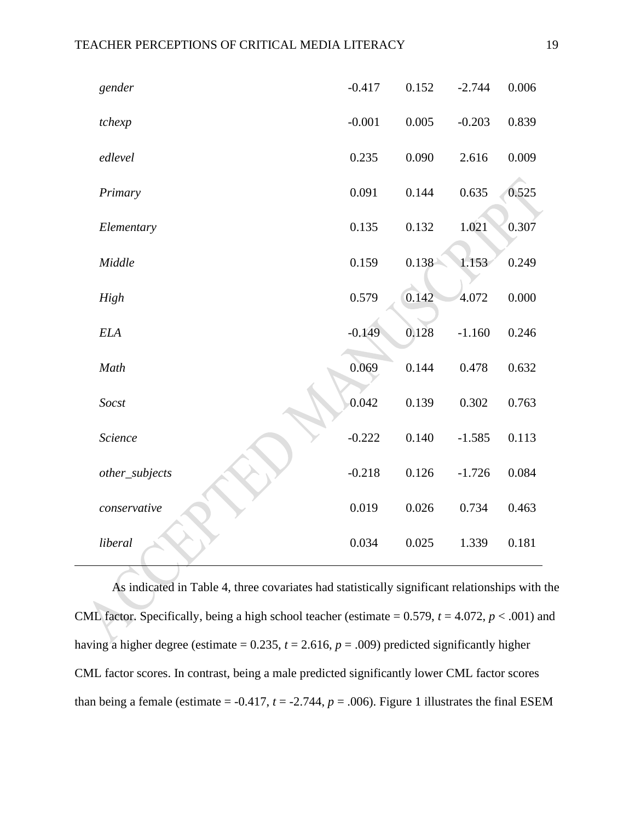| gender         | $-0.417$ | 0.152 | $-2.744$ | 0.006 |
|----------------|----------|-------|----------|-------|
| tchexp         | $-0.001$ | 0.005 | $-0.203$ | 0.839 |
| edlevel        | 0.235    | 0.090 | 2.616    | 0.009 |
| Primary        | 0.091    | 0.144 | 0.635    | 0.525 |
| Elementary     | 0.135    | 0.132 | 1.021    | 0.307 |
| Middle         | 0.159    | 0.138 | 1.153    | 0.249 |
| High           | 0.579    | 0.142 | 4.072    | 0.000 |
| <b>ELA</b>     | $-0.149$ | 0.128 | $-1.160$ | 0.246 |
| Math           | 0.069    | 0.144 | 0.478    | 0.632 |
| Socst          | 0.042    | 0.139 | 0.302    | 0.763 |
| Science        | $-0.222$ | 0.140 | $-1.585$ | 0.113 |
| other_subjects | $-0.218$ | 0.126 | $-1.726$ | 0.084 |
| conservative   | 0.019    | 0.026 | 0.734    | 0.463 |
| liberal        | 0.034    | 0.025 | 1.339    | 0.181 |

As indicated in Table 4, three covariates had statistically significant relationships with the CML factor. Specifically, being a high school teacher (estimate =  $0.579$ ,  $t = 4.072$ ,  $p < .001$ ) and having a higher degree (estimate =  $0.235$ ,  $t = 2.616$ ,  $p = .009$ ) predicted significantly higher CML factor scores. In contrast, being a male predicted significantly lower CML factor scores than being a female (estimate =  $-0.417$ ,  $t = -2.744$ ,  $p = .006$ ). Figure 1 illustrates the final ESEM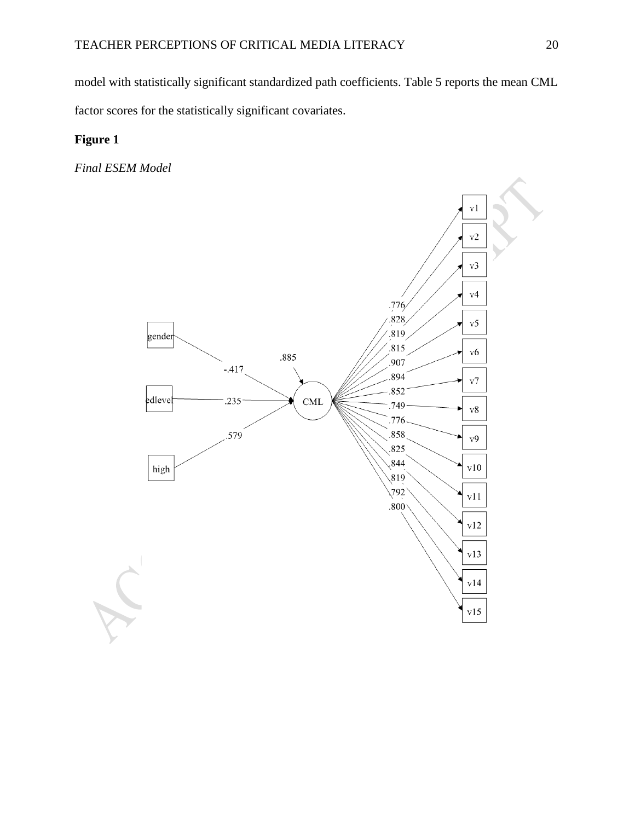model with statistically significant standardized path coefficients. Table 5 reports the mean CML factor scores for the statistically significant covariates.

## **Figure 1**

*Final ESEM Model*

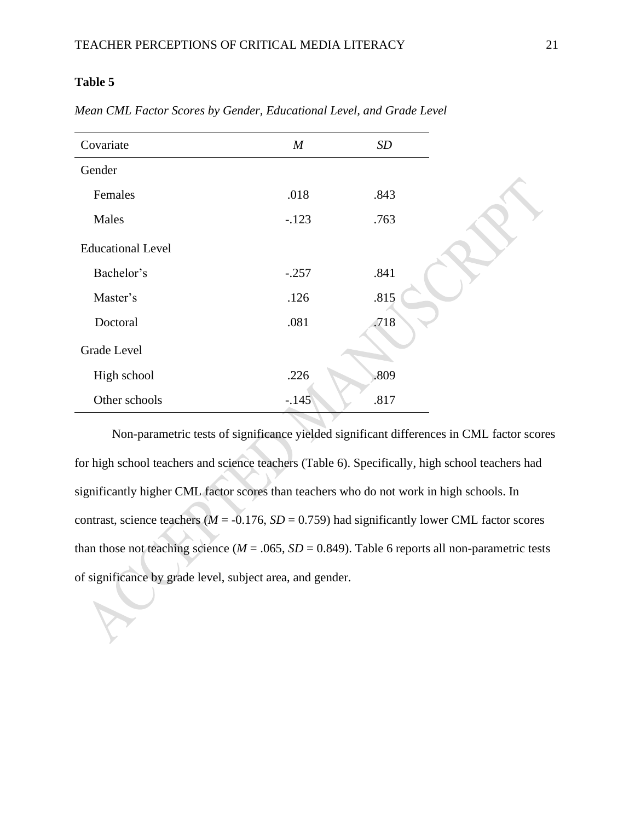## **Table 5**

| Covariate                | $\boldsymbol{M}$ | $\boldsymbol{SD}$ |
|--------------------------|------------------|-------------------|
| Gender                   |                  |                   |
| Females                  | .018             | .843              |
| Males                    | $-.123$          | .763              |
| <b>Educational Level</b> |                  |                   |
| Bachelor's               | $-.257$          | .841              |
| Master's                 | .126             | .815              |
| Doctoral                 | .081             | .718              |
| Grade Level              |                  |                   |
| High school              | .226             | .809              |
| Other schools            | $-.145$          | .817              |

*Mean CML Factor Scores by Gender, Educational Level, and Grade Level*

Non-parametric tests of significance yielded significant differences in CML factor scores for high school teachers and science teachers (Table 6). Specifically, high school teachers had significantly higher CML factor scores than teachers who do not work in high schools. In contrast, science teachers ( $M = -0.176$ ,  $SD = 0.759$ ) had significantly lower CML factor scores than those not teaching science ( $M = .065$ ,  $SD = 0.849$ ). Table 6 reports all non-parametric tests of significance by grade level, subject area, and gender.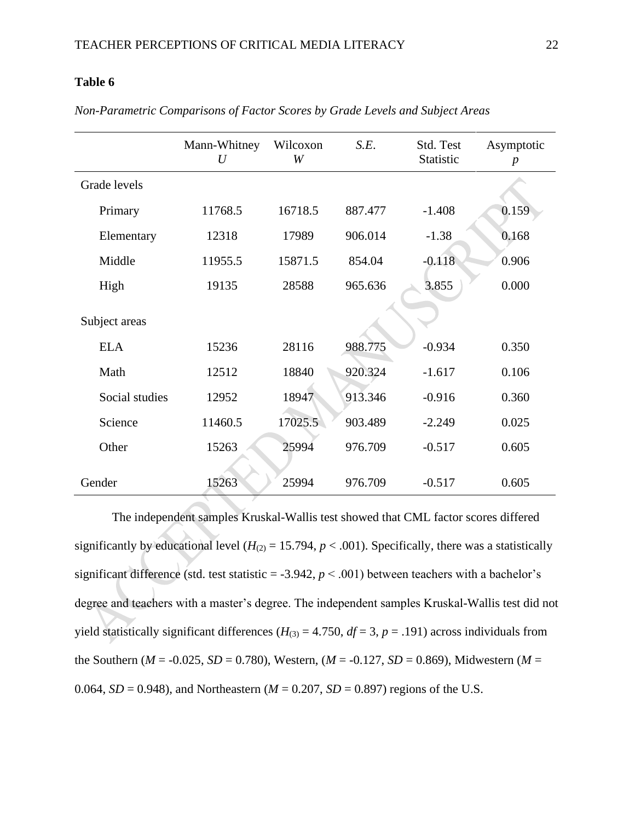## **Table 6**

|                | Mann-Whitney<br>U | Wilcoxon<br>W | S.E.    | Std. Test<br>Statistic | Asymptotic<br>$\boldsymbol{p}$ |
|----------------|-------------------|---------------|---------|------------------------|--------------------------------|
| Grade levels   |                   |               |         |                        |                                |
| Primary        | 11768.5           | 16718.5       | 887.477 | $-1.408$               | 0.159                          |
| Elementary     | 12318             | 17989         | 906.014 | $-1.38$                | 0.168                          |
| Middle         | 11955.5           | 15871.5       | 854.04  | $-0.118$               | 0.906                          |
| High           | 19135             | 28588         | 965.636 | 3.855                  | 0.000                          |
| Subject areas  |                   |               |         |                        |                                |
| <b>ELA</b>     | 15236             | 28116         | 988.775 | $-0.934$               | 0.350                          |
| Math           | 12512             | 18840         | 920.324 | $-1.617$               | 0.106                          |
| Social studies | 12952             | 18947         | 913.346 | $-0.916$               | 0.360                          |
| Science        | 11460.5           | 17025.5       | 903.489 | $-2.249$               | 0.025                          |
| Other          | 15263             | 25994         | 976.709 | $-0.517$               | 0.605                          |
| Gender         | 15263             | 25994         | 976.709 | $-0.517$               | 0.605                          |

*Non-Parametric Comparisons of Factor Scores by Grade Levels and Subject Areas*

The independent samples Kruskal-Wallis test showed that CML factor scores differed significantly by educational level  $(H_{(2)} = 15.794, p < .001)$ . Specifically, there was a statistically significant difference (std. test statistic  $= -3.942$ ,  $p < .001$ ) between teachers with a bachelor's degree and teachers with a master's degree. The independent samples Kruskal-Wallis test did not yield statistically significant differences ( $H_{(3)} = 4.750$ ,  $df = 3$ ,  $p = .191$ ) across individuals from the Southern ( $M = -0.025$ ,  $SD = 0.780$ ), Western, ( $M = -0.127$ ,  $SD = 0.869$ ), Midwestern ( $M =$ 0.064,  $SD = 0.948$ ), and Northeastern ( $M = 0.207$ ,  $SD = 0.897$ ) regions of the U.S.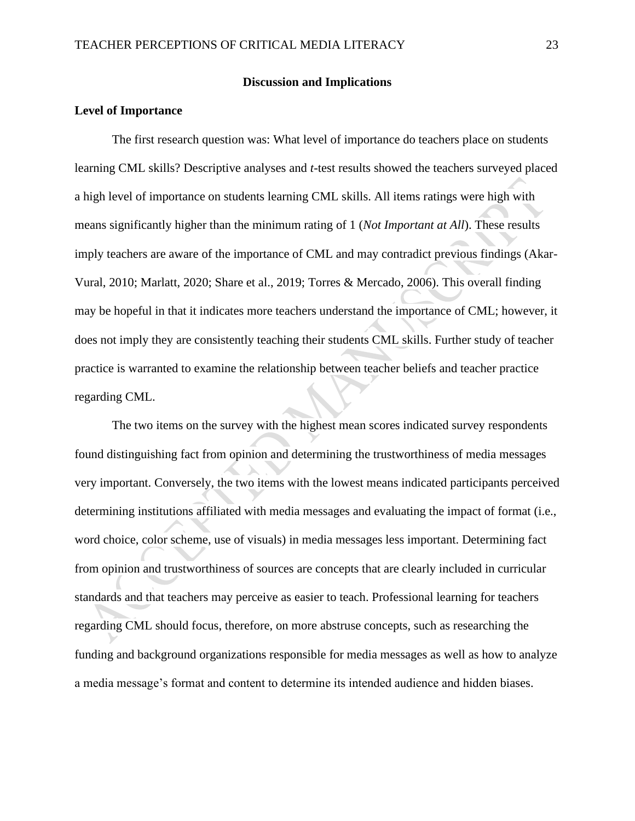#### **Discussion and Implications**

#### **Level of Importance**

The first research question was: What level of importance do teachers place on students learning CML skills? Descriptive analyses and *t*-test results showed the teachers surveyed placed a high level of importance on students learning CML skills. All items ratings were high with means significantly higher than the minimum rating of 1 (*Not Important at All*). These results imply teachers are aware of the importance of CML and may contradict previous findings (Akar-Vural, 2010; Marlatt, 2020; Share et al., 2019; Torres & Mercado, 2006). This overall finding may be hopeful in that it indicates more teachers understand the importance of CML; however, it does not imply they are consistently teaching their students CML skills. Further study of teacher practice is warranted to examine the relationship between teacher beliefs and teacher practice regarding CML.

The two items on the survey with the highest mean scores indicated survey respondents found distinguishing fact from opinion and determining the trustworthiness of media messages very important. Conversely, the two items with the lowest means indicated participants perceived determining institutions affiliated with media messages and evaluating the impact of format (i.e., word choice, color scheme, use of visuals) in media messages less important. Determining fact from opinion and trustworthiness of sources are concepts that are clearly included in curricular standards and that teachers may perceive as easier to teach. Professional learning for teachers regarding CML should focus, therefore, on more abstruse concepts, such as researching the funding and background organizations responsible for media messages as well as how to analyze a media message's format and content to determine its intended audience and hidden biases.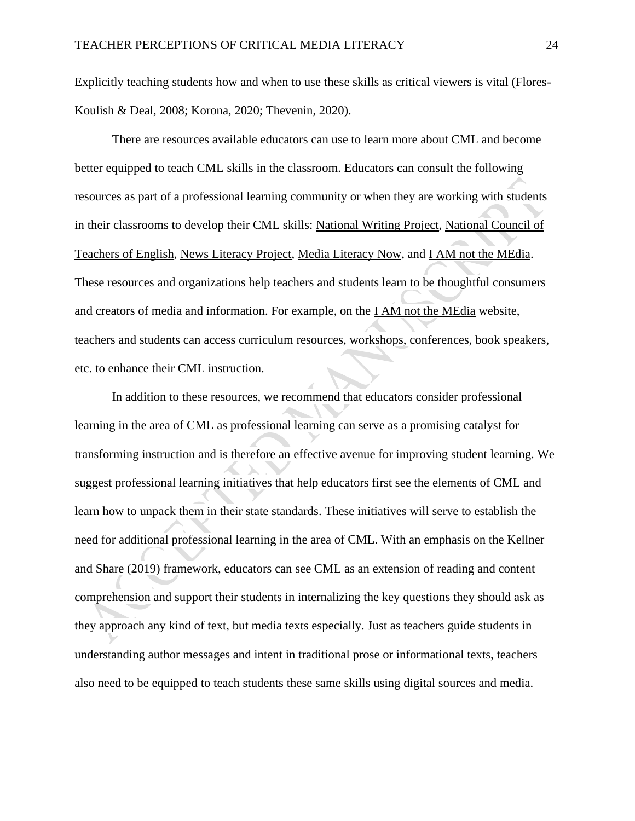Explicitly teaching students how and when to use these skills as critical viewers is vital (Flores-Koulish & Deal, 2008; Korona, 2020; Thevenin, 2020).

There are resources available educators can use to learn more about CML and become better equipped to teach CML skills in the classroom. Educators can consult the following resources as part of a professional learning community or when they are working with students in their classrooms to develop their CML skills: [National Writing Project,](https://www.nwp.org/) [National Council of](http://www.ncte.org/)  [Teachers of English,](http://www.ncte.org/) [News Literacy Project,](http://www.newslit.org/) [Media Literacy Now,](https://medialiteracynow.org/) and [I AM not the MEdia.](https://www.iamnotthemedia.org/) These resources and organizations help teachers and students learn to be thoughtful consumers and creators of media and information. For example, on the [I AM not the MEdia](https://www.iamnotthemedia.org/) website, teachers and students can access curriculum resources, workshops, conferences, book speakers, etc. to enhance their CML instruction.

In addition to these resources, we recommend that educators consider professional learning in the area of CML as professional learning can serve as a promising catalyst for transforming instruction and is therefore an effective avenue for improving student learning. We suggest professional learning initiatives that help educators first see the elements of CML and learn how to unpack them in their state standards. These initiatives will serve to establish the need for additional professional learning in the area of CML. With an emphasis on the Kellner and Share (2019) framework, educators can see CML as an extension of reading and content comprehension and support their students in internalizing the key questions they should ask as they approach any kind of text, but media texts especially. Just as teachers guide students in understanding author messages and intent in traditional prose or informational texts, teachers also need to be equipped to teach students these same skills using digital sources and media.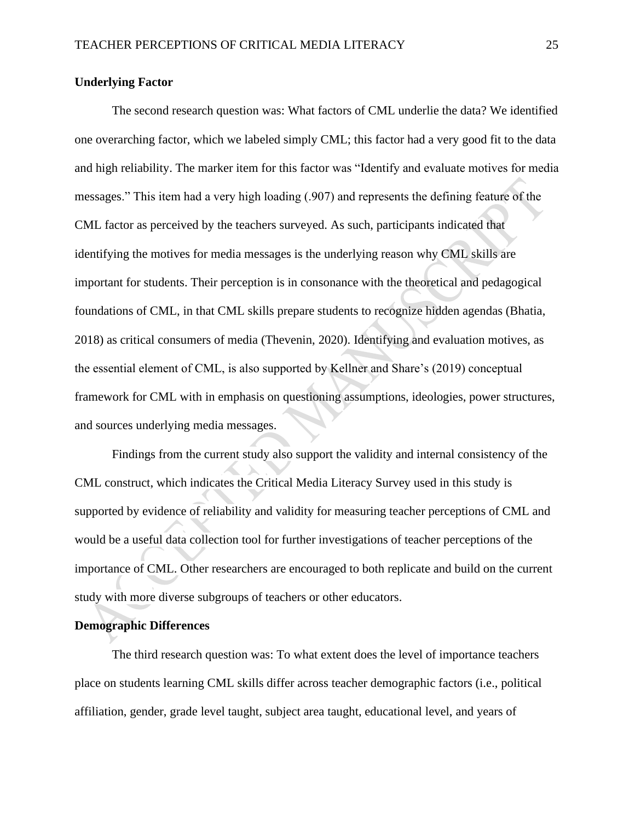#### **Underlying Factor**

The second research question was: What factors of CML underlie the data? We identified one overarching factor, which we labeled simply CML; this factor had a very good fit to the data and high reliability. The marker item for this factor was "Identify and evaluate motives for media messages." This item had a very high loading (.907) and represents the defining feature of the CML factor as perceived by the teachers surveyed. As such, participants indicated that identifying the motives for media messages is the underlying reason why CML skills are important for students. Their perception is in consonance with the theoretical and pedagogical foundations of CML, in that CML skills prepare students to recognize hidden agendas (Bhatia, 2018) as critical consumers of media (Thevenin, 2020). Identifying and evaluation motives, as the essential element of CML, is also supported by Kellner and Share's (2019) conceptual framework for CML with in emphasis on questioning assumptions, ideologies, power structures, and sources underlying media messages.

Findings from the current study also support the validity and internal consistency of the CML construct, which indicates the Critical Media Literacy Survey used in this study is supported by evidence of reliability and validity for measuring teacher perceptions of CML and would be a useful data collection tool for further investigations of teacher perceptions of the importance of CML. Other researchers are encouraged to both replicate and build on the current study with more diverse subgroups of teachers or other educators.

#### **Demographic Differences**

The third research question was: To what extent does the level of importance teachers place on students learning CML skills differ across teacher demographic factors (i.e., political affiliation, gender, grade level taught, subject area taught, educational level, and years of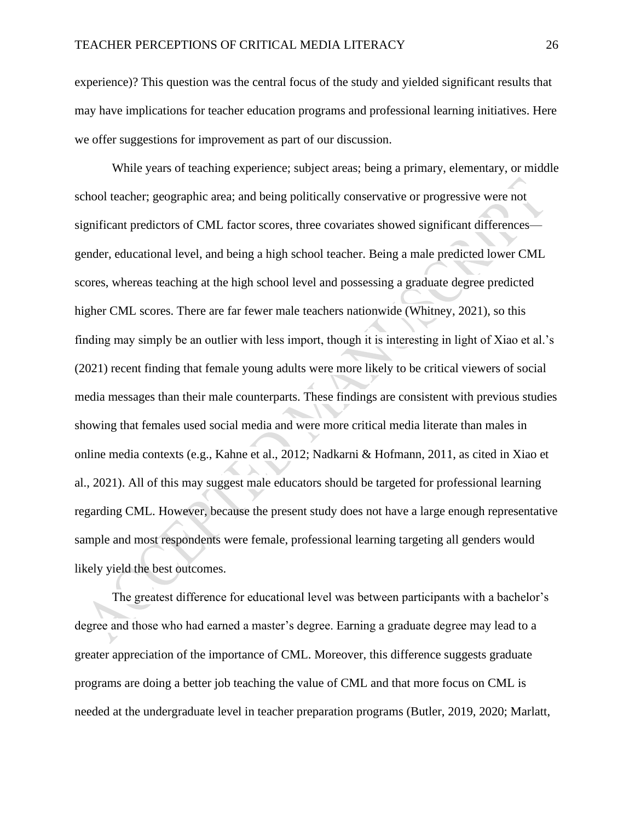experience)? This question was the central focus of the study and yielded significant results that may have implications for teacher education programs and professional learning initiatives. Here we offer suggestions for improvement as part of our discussion.

While years of teaching experience; subject areas; being a primary, elementary, or middle school teacher; geographic area; and being politically conservative or progressive were not significant predictors of CML factor scores, three covariates showed significant differences gender, educational level, and being a high school teacher. Being a male predicted lower CML scores, whereas teaching at the high school level and possessing a graduate degree predicted higher CML scores. There are far fewer male teachers nationwide (Whitney, 2021), so this finding may simply be an outlier with less import, though it is interesting in light of Xiao et al.'s (2021) recent finding that female young adults were more likely to be critical viewers of social media messages than their male counterparts. These findings are consistent with previous studies showing that females used social media and were more critical media literate than males in online media contexts (e.g., Kahne et al., 2012; Nadkarni & Hofmann, 2011, as cited in Xiao et al., 2021). All of this may suggest male educators should be targeted for professional learning regarding CML. However, because the present study does not have a large enough representative sample and most respondents were female, professional learning targeting all genders would likely yield the best outcomes.

The greatest difference for educational level was between participants with a bachelor's degree and those who had earned a master's degree. Earning a graduate degree may lead to a greater appreciation of the importance of CML. Moreover, this difference suggests graduate programs are doing a better job teaching the value of CML and that more focus on CML is needed at the undergraduate level in teacher preparation programs (Butler, 2019, 2020; Marlatt,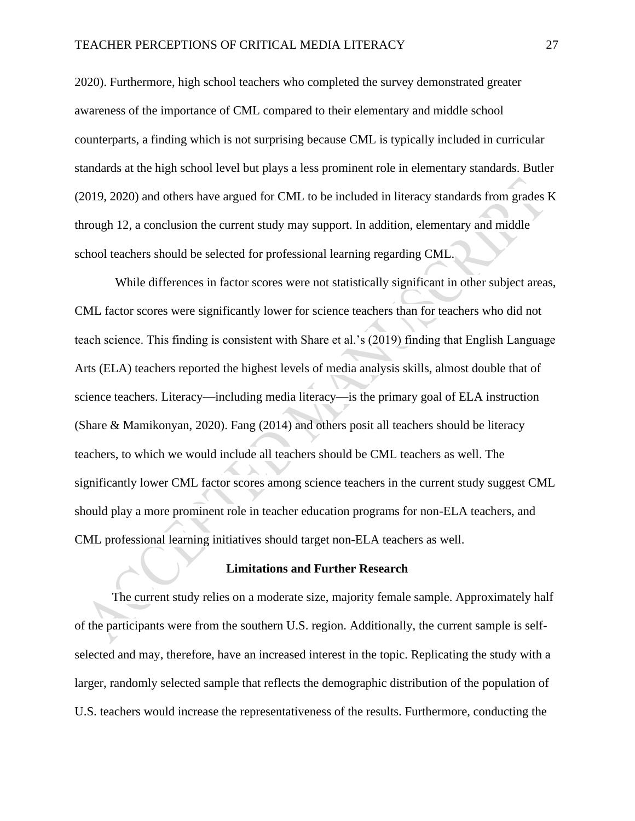2020). Furthermore, high school teachers who completed the survey demonstrated greater awareness of the importance of CML compared to their elementary and middle school counterparts, a finding which is not surprising because CML is typically included in curricular standards at the high school level but plays a less prominent role in elementary standards. Butler (2019, 2020) and others have argued for CML to be included in literacy standards from grades K through 12, a conclusion the current study may support. In addition, elementary and middle school teachers should be selected for professional learning regarding CML.

While differences in factor scores were not statistically significant in other subject areas, CML factor scores were significantly lower for science teachers than for teachers who did not teach science. This finding is consistent with Share et al.'s (2019) finding that English Language Arts (ELA) teachers reported the highest levels of media analysis skills, almost double that of science teachers. Literacy—including media literacy—is the primary goal of ELA instruction (Share & Mamikonyan, 2020). Fang (2014) and others posit all teachers should be literacy teachers, to which we would include all teachers should be CML teachers as well. The significantly lower CML factor scores among science teachers in the current study suggest CML should play a more prominent role in teacher education programs for non-ELA teachers, and CML professional learning initiatives should target non-ELA teachers as well.

#### **Limitations and Further Research**

The current study relies on a moderate size, majority female sample. Approximately half of the participants were from the southern U.S. region. Additionally, the current sample is selfselected and may, therefore, have an increased interest in the topic. Replicating the study with a larger, randomly selected sample that reflects the demographic distribution of the population of U.S. teachers would increase the representativeness of the results. Furthermore, conducting the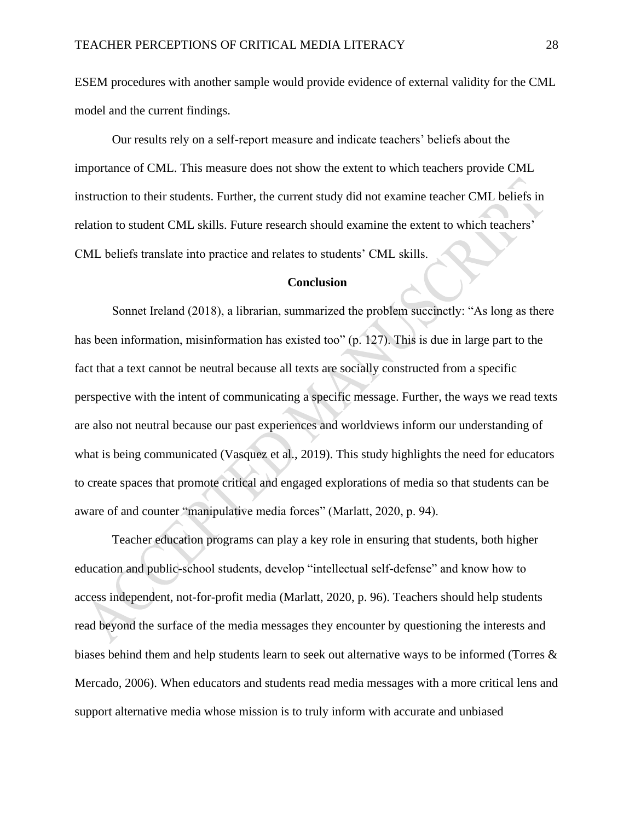ESEM procedures with another sample would provide evidence of external validity for the CML model and the current findings.

Our results rely on a self-report measure and indicate teachers' beliefs about the importance of CML. This measure does not show the extent to which teachers provide CML instruction to their students. Further, the current study did not examine teacher CML beliefs in relation to student CML skills. Future research should examine the extent to which teachers' CML beliefs translate into practice and relates to students' CML skills.

#### **Conclusion**

Sonnet Ireland (2018), a librarian, summarized the problem succinctly: "As long as there has been information, misinformation has existed too" (p. 127). This is due in large part to the fact that a text cannot be neutral because all texts are socially constructed from a specific perspective with the intent of communicating a specific message. Further, the ways we read texts are also not neutral because our past experiences and worldviews inform our understanding of what is being communicated (Vasquez et al., 2019). This study highlights the need for educators to create spaces that promote critical and engaged explorations of media so that students can be aware of and counter "manipulative media forces" (Marlatt, 2020, p. 94).

Teacher education programs can play a key role in ensuring that students, both higher education and public-school students, develop "intellectual self-defense" and know how to access independent, not-for-profit media (Marlatt, 2020, p. 96). Teachers should help students read beyond the surface of the media messages they encounter by questioning the interests and biases behind them and help students learn to seek out alternative ways to be informed (Torres & Mercado, 2006). When educators and students read media messages with a more critical lens and support alternative media whose mission is to truly inform with accurate and unbiased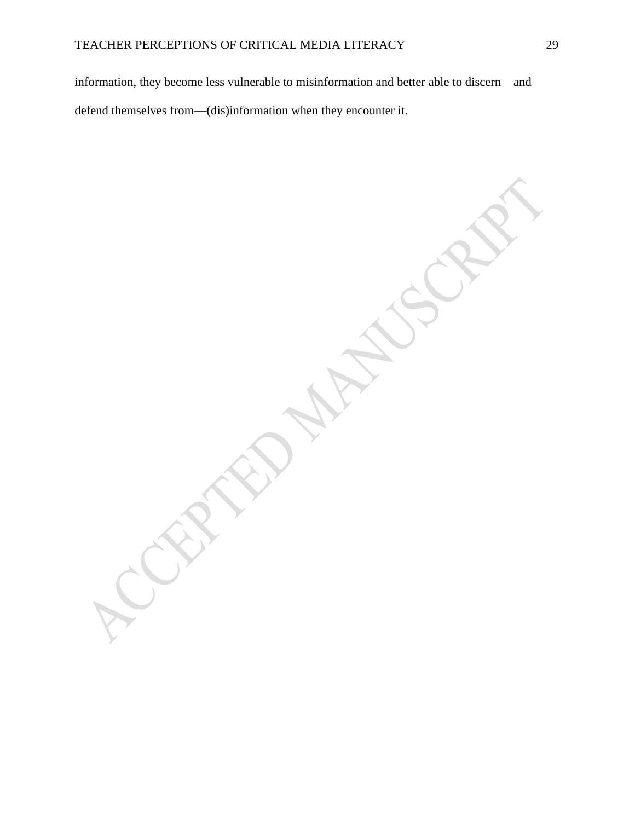information, they become less vulnerable to misinformation and better able to discern—and defend themselves from—(dis)information when they encounter it.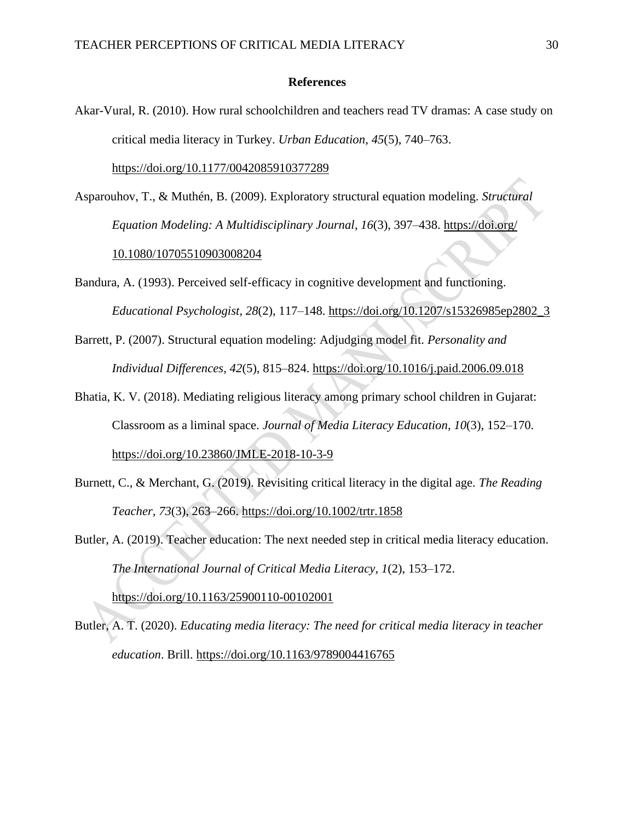#### **References**

- Akar-Vural, R. (2010). How rural schoolchildren and teachers read TV dramas: A case study on critical media literacy in Turkey. *Urban Education*, *45*(5), 740–763. <https://doi.org/10.1177/0042085910377289>
- Asparouhov, T., & Muthén, B. (2009). Exploratory structural equation modeling. *Structural Equation Modeling: A Multidisciplinary Journal*, *16*(3), 397–438. [https://doi.org/](https://doi.org/%2010.1080/10705510903008204)  [10.1080/10705510903008204](https://doi.org/%2010.1080/10705510903008204)
- Bandura, A. (1993). Perceived self-efficacy in cognitive development and functioning. *Educational Psychologist*, *28*(2), 117–148. [https://doi.org/10.1207/s15326985ep2802\\_3](https://doi.org/10.1207/s15326985ep2802_3)
- Barrett, P. (2007). Structural equation modeling: Adjudging model fit. *Personality and Individual Differences*, *42*(5), 815–824.<https://doi.org/10.1016/j.paid.2006.09.018>
- Bhatia, K. V. (2018). Mediating religious literacy among primary school children in Gujarat: Classroom as a liminal space. *Journal of Media Literacy Education*, *10*(3), 152–170[.](https://eric.ed.gov/?id=EJ1194043) <https://doi.org/10.23860/JMLE-2018-10-3-9>
- Burnett, C., & Merchant, G. (2019). Revisiting critical literacy in the digital age. *The Reading Teacher*, *73*(3), 263–266.<https://doi.org/10.1002/trtr.1858>
- Butler, A. (2019). Teacher education: The next needed step in critical media literacy education. *The International Journal of Critical Media Literacy*, *1*(2), 153–172[.](https://doi.org/10.1163/25900110-00102001) <https://doi.org/10.1163/25900110-00102001>
- Butler, A. T. (2020). *Educating media literacy: The need for critical media literacy in teacher education*. Brill.<https://doi.org/10.1163/9789004416765>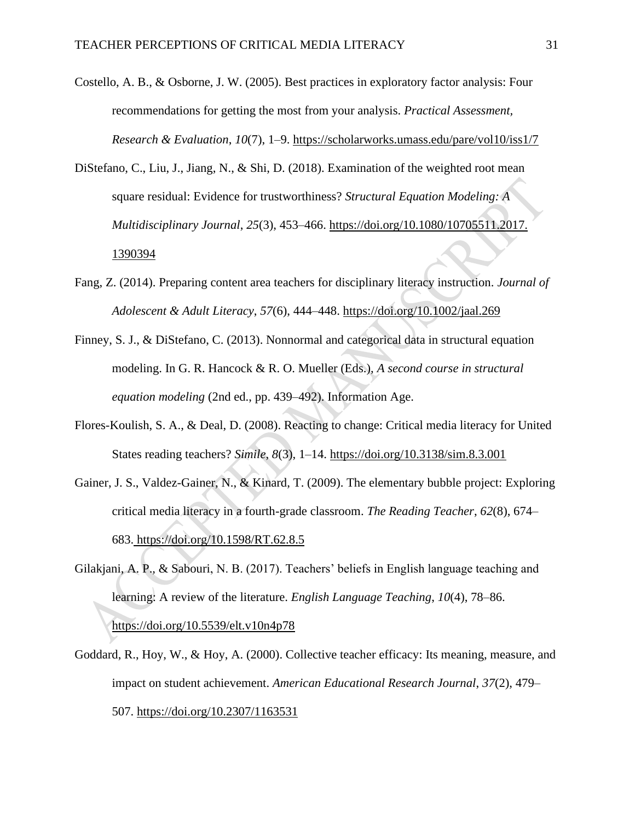- Costello, A. B., & Osborne, J. W. (2005). Best practices in exploratory factor analysis: Four recommendations for getting the most from your analysis. *Practical Assessment, Research & Evaluation*, *10*(7), 1–9[.](https://scholarworks.umass.edu/pare/vol10/iss1/7) <https://scholarworks.umass.edu/pare/vol10/iss1/7>
- DiStefano, C., Liu, J., Jiang, N., & Shi, D. (2018). Examination of the weighted root mean square residual: Evidence for trustworthiness? *Structural Equation Modeling: A Multidisciplinary Journal*, *25*(3), 453–466[.](https://doi.org/10.1080/10705511.2017.%201390394) [https://doi.org/10.1080/10705511.2017.](https://doi.org/10.1080/10705511.2017.%201390394)  [1390394](https://doi.org/10.1080/10705511.2017.%201390394)
- Fang, Z. (2014). Preparing content area teachers for disciplinary literacy instruction. *Journal of Adolescent & Adult Literacy*, *57*(6), 444–448.<https://doi.org/10.1002/jaal.269>
- Finney, S. J., & DiStefano, C. (2013). Nonnormal and categorical data in structural equation modeling. In G. R. Hancock & R. O. Mueller (Eds.), *A second course in structural equation modeling* (2nd ed., pp. 439–492). Information Age.
- Flores-Koulish, S. A., & Deal, D. (2008). Reacting to change: Critical media literacy for United States reading teachers? *Simile*, *8*(3), 1–14.<https://doi.org/10.3138/sim.8.3.001>
- Gainer, J. S., Valdez-Gainer, N., & Kinard, T. (2009). The elementary bubble project: Exploring critical media literacy in a fourth-grade classroom. *The Reading Teacher*, *62*(8), 674– 683[.](https://doi.org/10.1598/RT.62.8.5) <https://doi.org/10.1598/RT.62.8.5>
- Gilakjani, A. P., & Sabouri, N. B. (2017). Teachers' beliefs in English language teaching and learning: A review of the literature. *English Language Teaching*, *10*(4), 78–86. <https://doi.org/10.5539/elt.v10n4p78>
- Goddard, R., Hoy, W., & Hoy, A. (2000). Collective teacher efficacy: Its meaning, measure, and impact on student achievement. *American Educational Research Journal*, *37*(2), 479– 507.<https://doi.org/10.2307/1163531>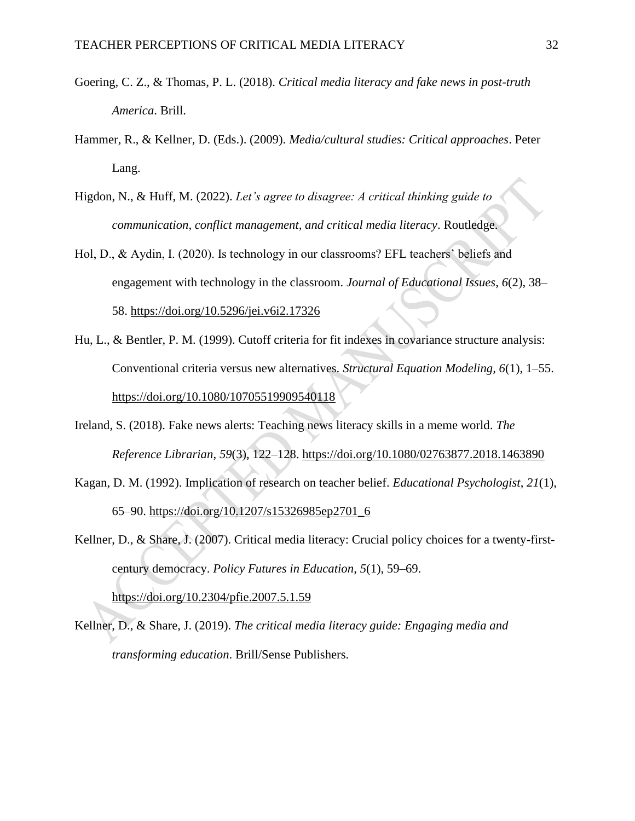- Goering, C. Z., & Thomas, P. L. (2018). *Critical media literacy and fake news in post-truth America*. Brill.
- Hammer, R., & Kellner, D. (Eds.). (2009). *Media/cultural studies: Critical approaches*. Peter Lang.
- Higdon, N., & Huff, M. (2022). *Let's agree to disagree: A critical thinking guide to communication, conflict management, and critical media literacy*. Routledge.
- Hol, D., & Aydin, I. (2020). Is technology in our classrooms? EFL teachers' beliefs and engagement with technology in the classroom. *Journal of Educational Issues*, *6*(2), 38– 58.<https://doi.org/10.5296/jei.v6i2.17326>
- Hu, L., & Bentler, P. M. (1999). Cutoff criteria for fit indexes in covariance structure analysis: Conventional criteria versus new alternatives. *Structural Equation Modeling, 6*(1), 1–55[.](https://doi.org/10.1080/10705519909540118) <https://doi.org/10.1080/10705519909540118>
- Ireland, S. (2018). Fake news alerts: Teaching news literacy skills in a meme world. *The Reference Librarian*, *59*(3), 122–128.<https://doi.org/10.1080/02763877.2018.1463890>
- Kagan, D. M. (1992). Implication of research on teacher belief. *Educational Psychologist*, *21*(1), 65–90. [https://doi.org/10.1207/s15326985ep2701\\_6](https://doi.org/10.1207/s15326985ep2701_6)
- Kellner, D., & Share, J. (2007). Critical media literacy: Crucial policy choices for a twenty-firstcentury democracy. *Policy Futures in Education*, *5*(1), 59–69[.](https://doi.org/10.2304/pfie.2007.5.1.59) <https://doi.org/10.2304/pfie.2007.5.1.59>
- Kellner, D., & Share, J. (2019). *The critical media literacy guide: Engaging media and transforming education*. Brill/Sense Publishers.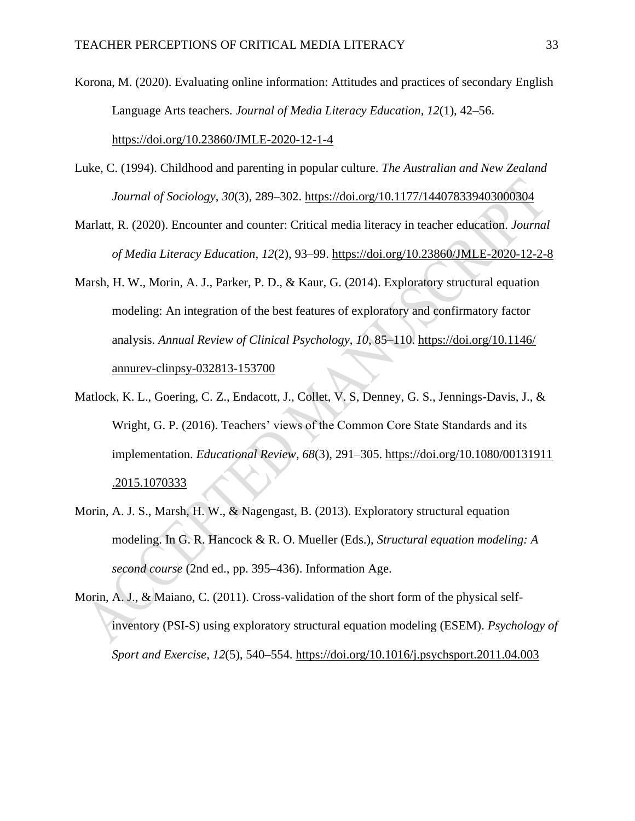Korona, M. (2020). Evaluating online information: Attitudes and practices of secondary English Language Arts teachers. *Journal of Media Literacy Education*, *12*(1), 42–56[.](https://doi.org/10.23860/JMLE-2020-12-1-4) <https://doi.org/10.23860/JMLE-2020-12-1-4>

- Luke, C. (1994). Childhood and parenting in popular culture. *The Australian and New Zealand Journal of Sociology*, *30*(3), 289–302[.](https://doi.org/10.1177/144078339403000304) <https://doi.org/10.1177/144078339403000304>
- Marlatt, R. (2020). Encounter and counter: Critical media literacy in teacher education. *Journal of Media Literacy Education*, *12*(2), 93–99.<https://doi.org/10.23860/JMLE-2020-12-2-8>
- Marsh, H. W., Morin, A. J., Parker, P. D., & Kaur, G. (2014). Exploratory structural equation modeling: An integration of the best features of exploratory and confirmatory factor analysis. *Annual Review of Clinical Psychology*, *10*, 85–110. [https://doi.org/10.1146/](https://doi.org/10.1146/%20annurev-clinpsy-032813-153700)  [annurev-clinpsy-032813-153700](https://doi.org/10.1146/%20annurev-clinpsy-032813-153700)
- Matlock, K. L., Goering, C. Z., Endacott, J., Collet, V. S, Denney, G. S., Jennings-Davis, J., & Wright, G. P. (2016). Teachers' views of the Common Core State Standards and its implementation. *Educational Review*, *68*(3), 291–305. [https://doi.org/10.1080/00131911](https://doi.org/10.1080/00131911.2015.1070333) [.2015.1070333](https://doi.org/10.1080/00131911.2015.1070333)
- Morin, A. J. S., Marsh, H. W., & Nagengast, B. (2013). Exploratory structural equation modeling. In G. R. Hancock & R. O. Mueller (Eds.), *Structural equation modeling: A second course* (2nd ed., pp. 395–436). Information Age.
- Morin, A. J., & Maiano, C. (2011). Cross-validation of the short form of the physical selfinventory (PSI-S) using exploratory structural equation modeling (ESEM). *Psychology of Sport and Exercise*, *12*(5), 540–554. <https://doi.org/10.1016/j.psychsport.2011.04.003>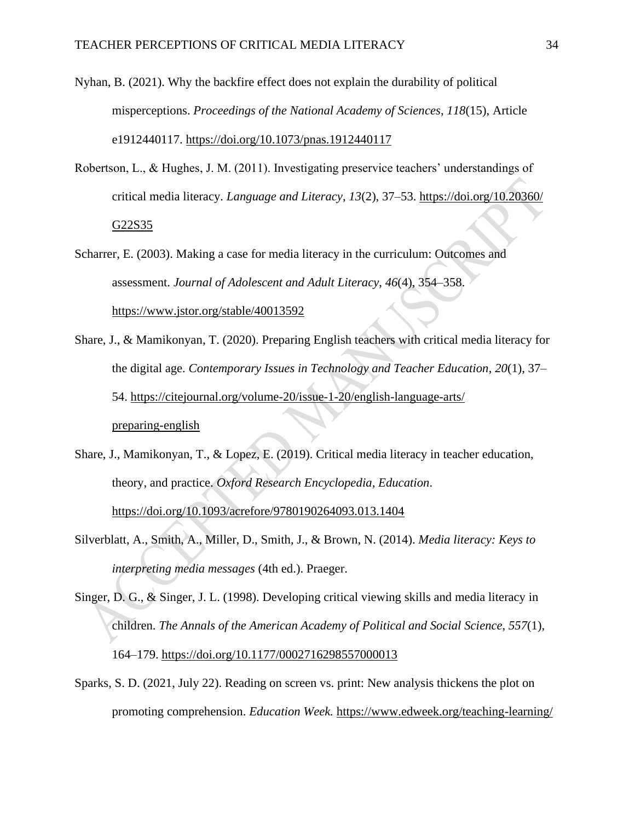- Nyhan, B. (2021). Why the backfire effect does not explain the durability of political misperceptions. *Proceedings of the National Academy of Sciences*, *118*(15), Article e1912440117. <https://doi.org/10.1073/pnas.1912440117>
- Robertson, L., & Hughes, J. M. (2011). Investigating preservice teachers' understandings of critical media literacy. *Language and Literacy*, *13*(2), 37–53. [https://doi.org/10.20360/](https://doi.org/10.20360/G22S35) [G22S35](https://doi.org/10.20360/G22S35)
- Scharrer, E. (2003). Making a case for media literacy in the curriculum: Outcomes and assessment. *Journal of Adolescent and Adult Literacy*, *46*(4), 354–358. <https://www.jstor.org/stable/40013592>
- Share, J., & Mamikonyan, T. (2020). Preparing English teachers with critical media literacy for the digital age. *Contemporary Issues in Technology and Teacher Education*, *20*(1), 37– 54. [https://citejournal.org/volume-20/issue-1-20/english-language-arts/](https://citejournal.org/volume-20/issue-1-20/english-language-arts/preparing-english) [preparing-english](https://citejournal.org/volume-20/issue-1-20/english-language-arts/preparing-english)
- Share, J., Mamikonyan, T., & Lopez, E. (2019). Critical media literacy in teacher education, theory, and practice. *Oxford Research Encyclopedia, Education*[.](https://doi.org/10.1093/acrefore/9780190264093.013.1404) <https://doi.org/10.1093/acrefore/9780190264093.013.1404>
- Silverblatt, A., Smith, A., Miller, D., Smith, J., & Brown, N. (2014). *Media literacy: Keys to interpreting media messages* (4th ed.). Praeger.

Singer, D. G., & Singer, J. L. (1998). Developing critical viewing skills and media literacy in children. *The Annals of the American Academy of Political and Social Science*, *557*(1), 164–179.<https://doi.org/10.1177/0002716298557000013>

Sparks, S. D. (2021, July 22). Reading on screen vs. print: New analysis thickens the plot on promoting comprehension. *Education Week.* [https://www.edweek.org/teaching-learning/](https://www.edweek.org/teaching-learning/reading-on-screen-vs-print-new-analysis-thickens-the-plot-on-promoting-comprehension/2021/07)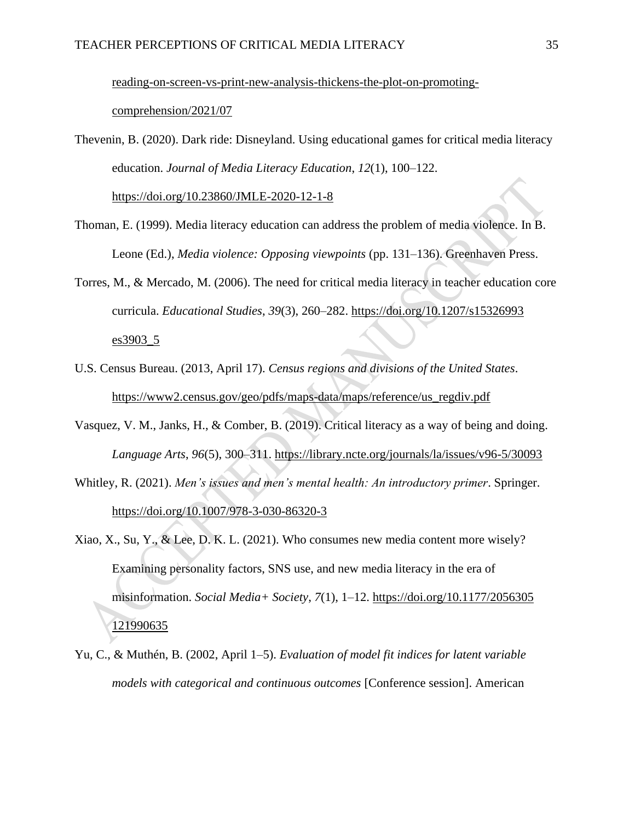[reading-on-screen-vs-print-new-analysis-thickens-the-plot-on-promoting-](https://www.edweek.org/teaching-learning/reading-on-screen-vs-print-new-analysis-thickens-the-plot-on-promoting-comprehension/2021/07)

[comprehension/2021/07](https://www.edweek.org/teaching-learning/reading-on-screen-vs-print-new-analysis-thickens-the-plot-on-promoting-comprehension/2021/07)

Thevenin, B. (2020). Dark ride: Disneyland. Using educational games for critical media literacy education. *Journal of Media Literacy Education*, *12*(1), 100–122[.](https://doi.org/10.23860/JMLE-2020-12-1-8)

<https://doi.org/10.23860/JMLE-2020-12-1-8>

- Thoman, E. (1999). Media literacy education can address the problem of media violence. In B. Leone (Ed.), *Media violence: Opposing viewpoints* (pp. 131–136). Greenhaven Press.
- Torres, M., & Mercado, M. (2006). The need for critical media literacy in teacher education core curricula. *Educational Studies*, *39*(3), 260–282. [https://doi.org/10.1207/s15326993](https://doi.org/10.1207/s15326993es3903_5) [es3903\\_5](https://doi.org/10.1207/s15326993es3903_5)
- U.S. Census Bureau. (2013, April 17). *Census regions and divisions of the United States*. [https://www2.census.gov/geo/pdfs/maps-data/maps/reference/us\\_regdiv.pdf](https://www2.census.gov/geo/pdfs/maps-data/maps/reference/us_regdiv.pdf)
- Vasquez, V. M., Janks, H., & Comber, B. (2019). Critical literacy as a way of being and doing. *Language Arts*, *96*(5), 300–311.<https://library.ncte.org/journals/la/issues/v96-5/30093>
- Whitley, R. (2021). *Men's issues and men's mental health: An introductory primer*. Springer. <https://doi.org/10.1007/978-3-030-86320-3>
- Xiao, X., Su, Y., & Lee, D. K. L. (2021). Who consumes new media content more wisely? Examining personality factors, SNS use, and new media literacy in the era of misinformation. *Social Media+ Society*, *7*(1), 1–12. [https://doi.org/10.1177/2056305](https://doi.org/10.1177/2056305121990635) [121990635](https://doi.org/10.1177/2056305121990635)
- Yu, C., & Muthén, B. (2002, April 1–5). *Evaluation of model fit indices for latent variable models with categorical and continuous outcomes* [Conference session]. American